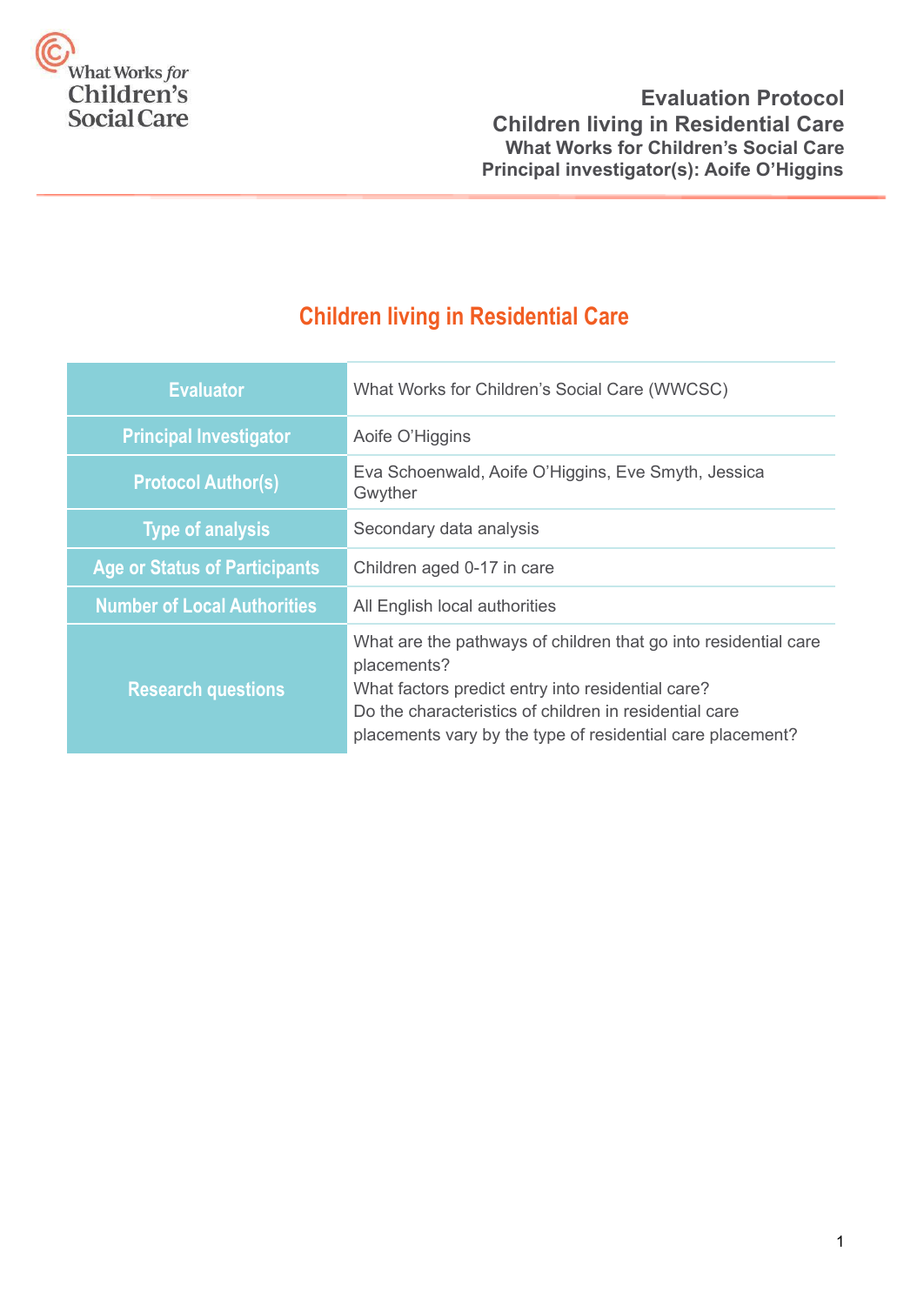

# **Children living in Residential Care**

| <b>Evaluator</b>                     | What Works for Children's Social Care (WWCSC)                                                                                                                                                                                                               |  |
|--------------------------------------|-------------------------------------------------------------------------------------------------------------------------------------------------------------------------------------------------------------------------------------------------------------|--|
| <b>Principal Investigator</b>        | Aoife O'Higgins                                                                                                                                                                                                                                             |  |
| <b>Protocol Author(s)</b>            | Eva Schoenwald, Aoife O'Higgins, Eve Smyth, Jessica<br>Gwyther                                                                                                                                                                                              |  |
| <b>Type of analysis</b>              | Secondary data analysis                                                                                                                                                                                                                                     |  |
| <b>Age or Status of Participants</b> | Children aged 0-17 in care                                                                                                                                                                                                                                  |  |
| <b>Number of Local Authorities</b>   | All English local authorities                                                                                                                                                                                                                               |  |
| <b>Research questions</b>            | What are the pathways of children that go into residential care<br>placements?<br>What factors predict entry into residential care?<br>Do the characteristics of children in residential care<br>placements vary by the type of residential care placement? |  |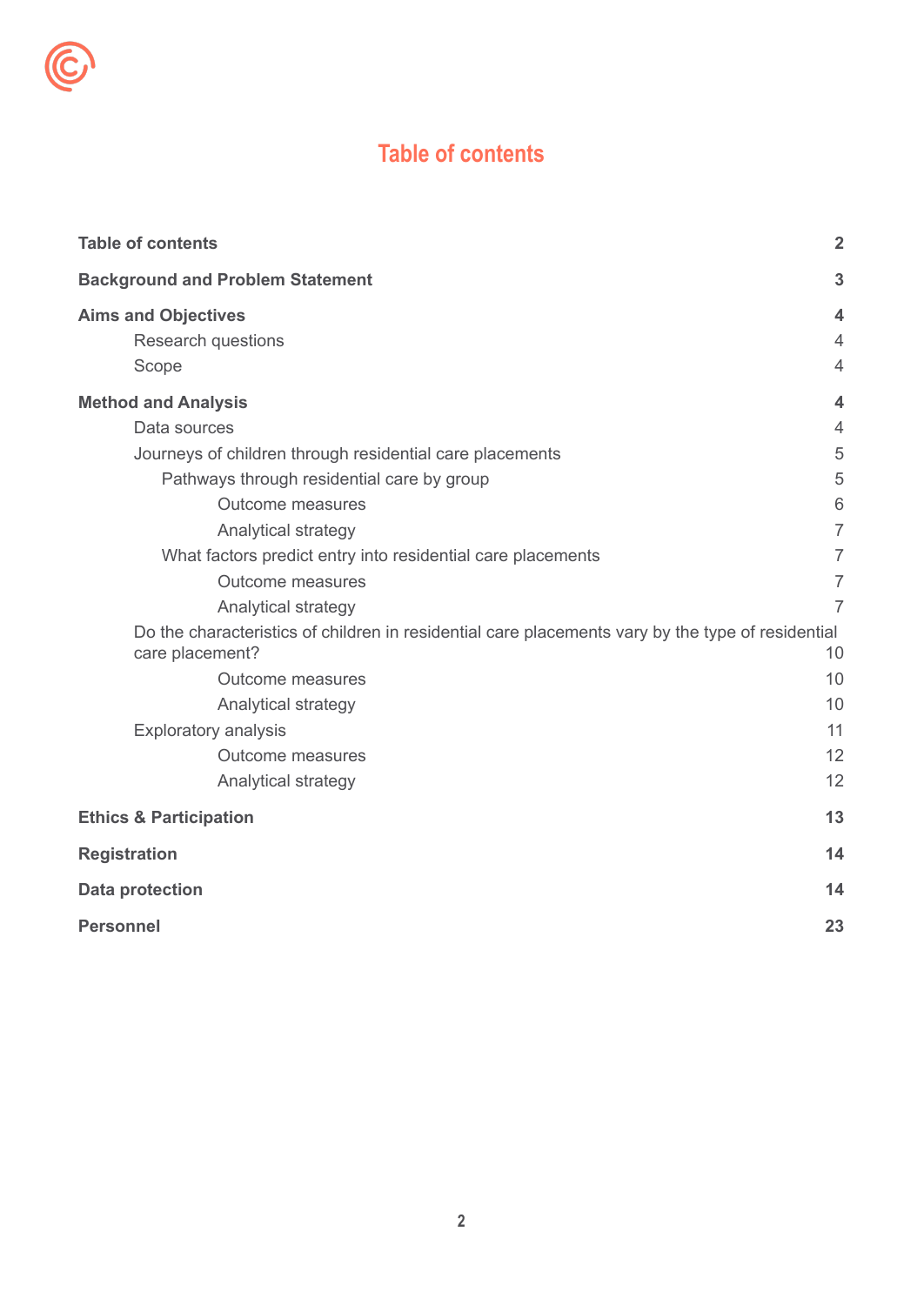

<span id="page-1-0"></span>Ć

| <b>Table of contents</b>                                                                                             | $\overline{2}$          |
|----------------------------------------------------------------------------------------------------------------------|-------------------------|
| <b>Background and Problem Statement</b>                                                                              | 3                       |
| <b>Aims and Objectives</b>                                                                                           | 4                       |
| <b>Research questions</b>                                                                                            | $\overline{4}$          |
| Scope                                                                                                                | $\overline{4}$          |
| <b>Method and Analysis</b>                                                                                           | $\overline{\mathbf{4}}$ |
| Data sources                                                                                                         | $\overline{4}$          |
| Journeys of children through residential care placements                                                             | 5                       |
| Pathways through residential care by group                                                                           | 5                       |
| <b>Outcome measures</b>                                                                                              | 6                       |
| Analytical strategy                                                                                                  | $\overline{7}$          |
| What factors predict entry into residential care placements                                                          | 7                       |
| Outcome measures                                                                                                     | $\overline{7}$          |
| Analytical strategy                                                                                                  | $\overline{7}$          |
| Do the characteristics of children in residential care placements vary by the type of residential<br>care placement? | 10                      |
| <b>Outcome measures</b>                                                                                              | 10                      |
| Analytical strategy                                                                                                  | 10                      |
| <b>Exploratory analysis</b>                                                                                          | 11                      |
| Outcome measures                                                                                                     | 12                      |
| Analytical strategy                                                                                                  | 12                      |
| <b>Ethics &amp; Participation</b>                                                                                    | 13                      |
| <b>Registration</b>                                                                                                  | 14                      |
| <b>Data protection</b>                                                                                               | 14                      |
| <b>Personnel</b>                                                                                                     | 23                      |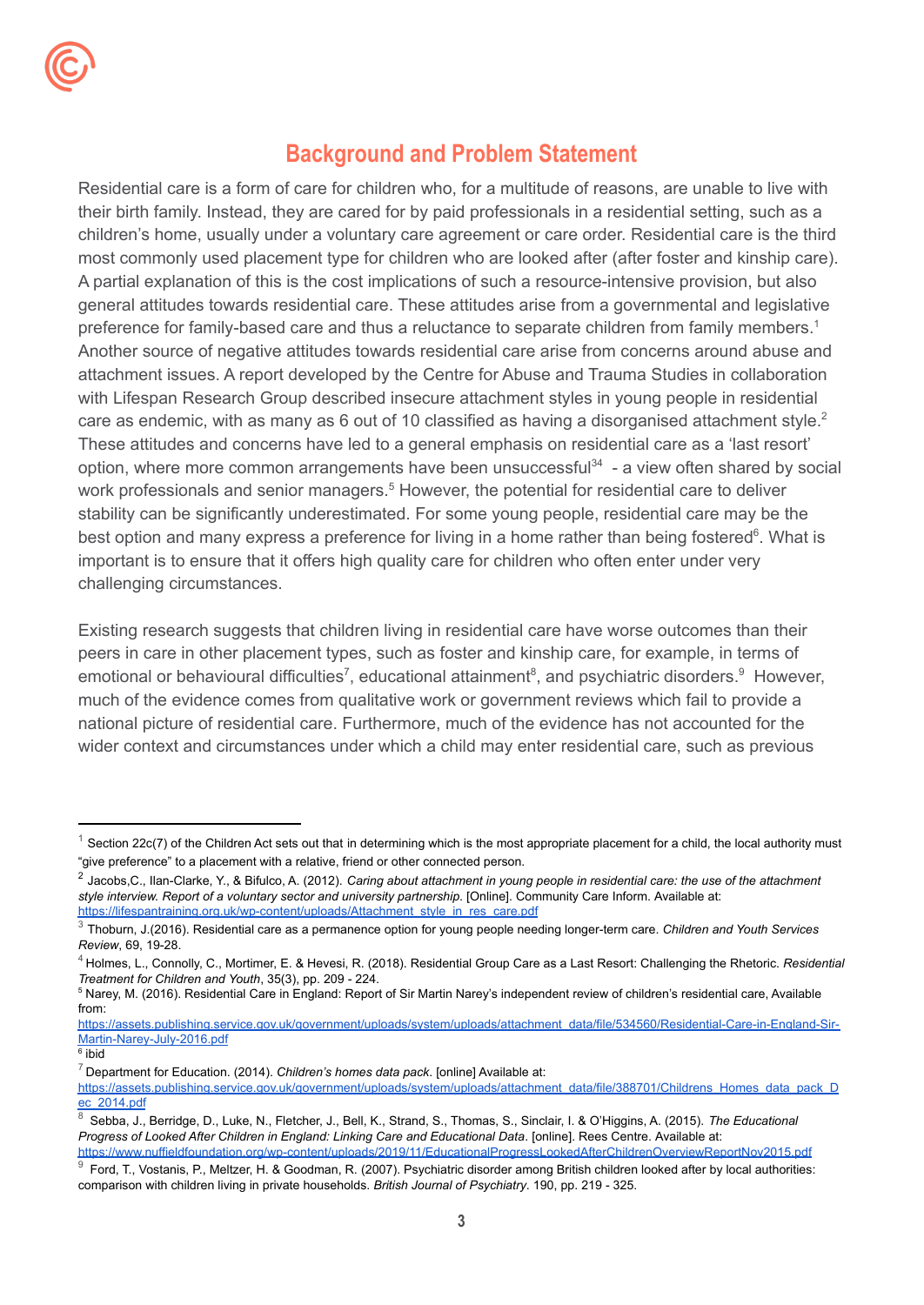# **Background and Problem Statement**

<span id="page-2-0"></span>Residential care is a form of care for children who, for a multitude of reasons, are unable to live with their birth family. Instead, they are cared for by paid professionals in a residential setting, such as a children's home, usually under a voluntary care agreement or care order. Residential care is the third most commonly used placement type for children who are looked after (after foster and kinship care). A partial explanation of this is the cost implications of such a resource-intensive provision, but also general attitudes towards residential care. These attitudes arise from a governmental and legislative preference for family-based care and thus a reluctance to separate children from family members.<sup>1</sup> Another source of negative attitudes towards residential care arise from concerns around abuse and attachment issues. A report developed by the Centre for Abuse and Trauma Studies in collaboration with Lifespan Research Group described insecure attachment styles in young people in residential care as endemic, with as many as 6 out of 10 classified as having a disorganised attachment style.<sup>2</sup> These attitudes and concerns have led to a general emphasis on residential care as a 'last resort' option, where more common arrangements have been unsuccessful<sup>34</sup> - a view often shared by social work professionals and senior managers.<sup>5</sup> However, the potential for residential care to deliver stability can be significantly underestimated. For some young people, residential care may be the best option and many express a preference for living in a home rather than being fostered<sup>6</sup>. What is important is to ensure that it offers high quality care for children who often enter under very challenging circumstances.

Existing research suggests that children living in residential care have worse outcomes than their peers in care in other placement types, such as foster and kinship care, for example, in terms of emotional or behavioural difficulties<sup>7</sup>, educational attainment<sup>8</sup>, and psychiatric disorders. <sup>9</sup> However, much of the evidence comes from qualitative work or government reviews which fail to provide a national picture of residential care. Furthermore, much of the evidence has not accounted for the wider context and circumstances under which a child may enter residential care, such as previous

[https://assets.publishing.service.gov.uk/government/uploads/system/uploads/attachment\\_data/file/534560/Residential-Care-in-England-Sir-](https://assets.publishing.service.gov.uk/government/uploads/system/uploads/attachment_data/file/534560/Residential-Care-in-England-Sir-Martin-Narey-July-2016.pdf)[Martin-Narey-July-2016.pdf](https://assets.publishing.service.gov.uk/government/uploads/system/uploads/attachment_data/file/534560/Residential-Care-in-England-Sir-Martin-Narey-July-2016.pdf)

6 ibid

Section 22c(7) of the Children Act sets out that in determining which is the most appropriate placement for a child, the local authority must "give preference" to a placement with a relative, friend or other connected person.

 $^2$  Jacobs,C., Ilan-Clarke, Y., & Bifulco, A. (2012). Caring about attachment in young people in residential care: the use of the attachment *style interview. Report of a voluntary sector and university partnership*. [Online]. Community Care Inform. Available at: [https://lifespantraining.org.uk/wp-content/uploads/Attachment\\_style\\_in\\_res\\_care.pdf](https://lifespantraining.org.uk/wp-content/uploads/Attachment_style_in_res_care.pdf)

<sup>3</sup> Thoburn, J.(2016). Residential care as a permanence option for young people needing longer-term care. *Children and Youth Services Review*, 69, 19-28.

<sup>4</sup> Holmes, L., Connolly, C., Mortimer, E. & Hevesi, R. (2018). Residential Group Care as a Last Resort: Challenging the Rhetoric. *Residential Treatment for Children and Youth*, 35(3), pp. 209 - 224.

<sup>5</sup> Narey, M. (2016). Residential Care in England: Report of Sir Martin Narey's independent review of children's residential care, Available from:

<sup>7</sup> Department for Education. (2014). *Children's homes data pack*. [online] Available at:

[https://assets.publishing.service.gov.uk/government/uploads/system/uploads/attachment\\_data/file/388701/Childrens\\_Homes\\_data\\_pack\\_D](https://assets.publishing.service.gov.uk/government/uploads/system/uploads/attachment_data/file/388701/Childrens_Homes_data_pack_Dec_2014.pdf) [ec\\_2014.pdf](https://assets.publishing.service.gov.uk/government/uploads/system/uploads/attachment_data/file/388701/Childrens_Homes_data_pack_Dec_2014.pdf)

<sup>8</sup> Sebba, J., Berridge, D., Luke, N., Fletcher, J., Bell, K., Strand, S., Thomas, S., Sinclair, I. & O'Higgins, A. (2015). *The Educational Progress of Looked After Children in England: Linking Care and Educational Data*. [online]. Rees Centre. Available at: <https://www.nuffieldfoundation.org/wp-content/uploads/2019/11/EducationalProgressLookedAfterChildrenOverviewReportNov2015.pdf>

<sup>9</sup> Ford, T., Vostanis, P., Meltzer, H. & Goodman, R. (2007). Psychiatric disorder among British children looked after by local authorities: comparison with children living in private households. *British Journal of Psychiatry*. 190, pp. 219 - 325.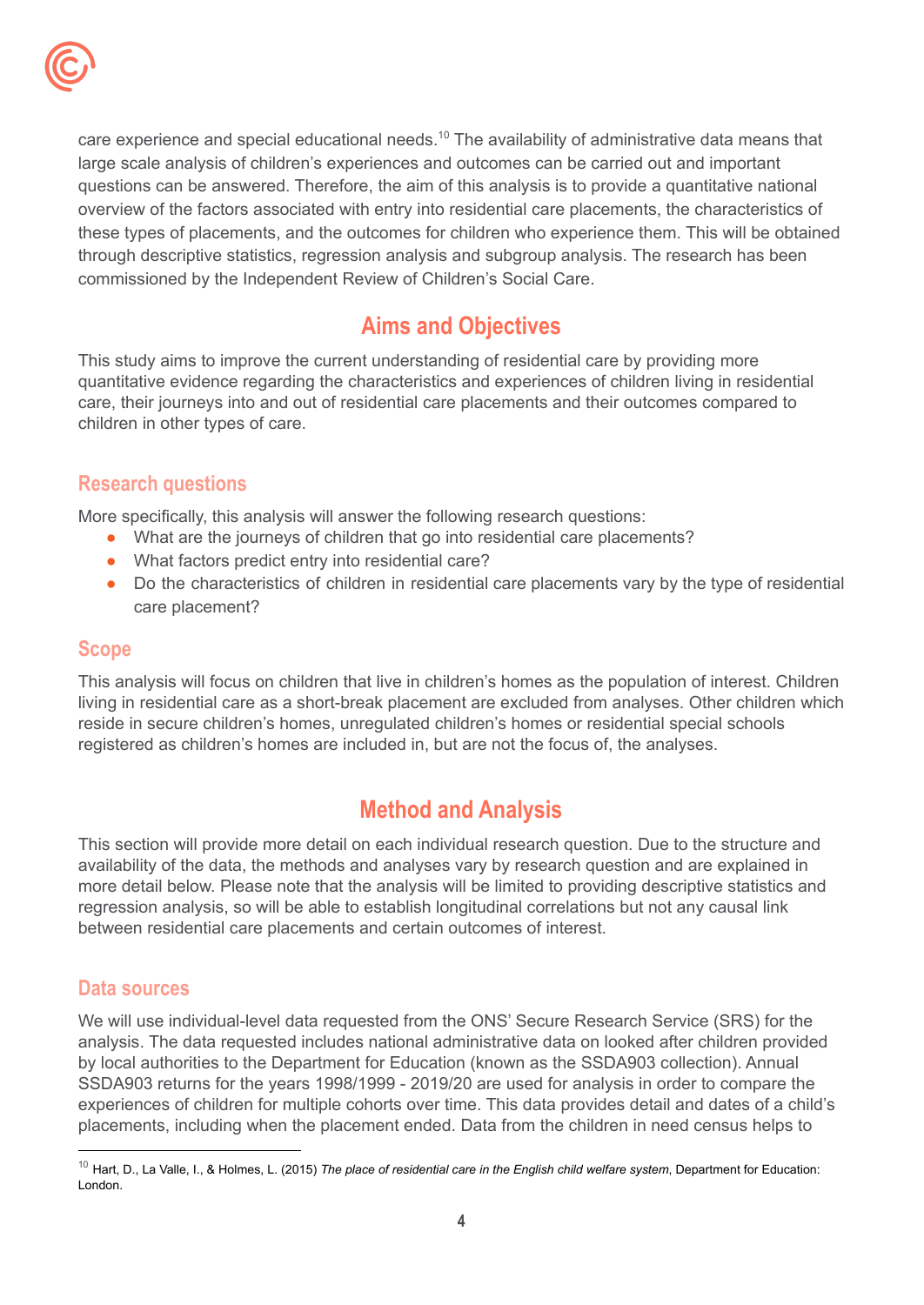

care experience and special educational needs.<sup>10</sup> The availability of administrative data means that large scale analysis of children's experiences and outcomes can be carried out and important questions can be answered. Therefore, the aim of this analysis is to provide a quantitative national overview of the factors associated with entry into residential care placements, the characteristics of these types of placements, and the outcomes for children who experience them. This will be obtained through descriptive statistics, regression analysis and subgroup analysis. The research has been commissioned by the Independent Review of Children's Social Care.

# **Aims and Objectives**

<span id="page-3-0"></span>This study aims to improve the current understanding of residential care by providing more quantitative evidence regarding the characteristics and experiences of children living in residential care, their journeys into and out of residential care placements and their outcomes compared to children in other types of care.

## <span id="page-3-1"></span>**Research questions**

More specifically, this analysis will answer the following research questions:

- What are the journeys of children that go into residential care placements?
- What factors predict entry into residential care?
- Do the characteristics of children in residential care placements vary by the type of residential care placement?

## <span id="page-3-2"></span>**Scope**

This analysis will focus on children that live in children's homes as the population of interest. Children living in residential care as a short-break placement are excluded from analyses. Other children which reside in secure children's homes, unregulated children's homes or residential special schools registered as children's homes are included in, but are not the focus of, the analyses.

# **Method and Analysis**

<span id="page-3-3"></span>This section will provide more detail on each individual research question. Due to the structure and availability of the data, the methods and analyses vary by research question and are explained in more detail below. Please note that the analysis will be limited to providing descriptive statistics and regression analysis, so will be able to establish longitudinal correlations but not any causal link between residential care placements and certain outcomes of interest.

## <span id="page-3-4"></span>**Data sources**

We will use individual-level data requested from the ONS' Secure Research Service (SRS) for the analysis. The data requested includes national administrative data on looked after children provided by local authorities to the Department for Education (known as the SSDA903 collection). Annual SSDA903 returns for the years 1998/1999 - 2019/20 are used for analysis in order to compare the experiences of children for multiple cohorts over time. This data provides detail and dates of a child's placements, including when the placement ended. Data from the children in need census helps to

<sup>10</sup> Hart, D., La Valle, I., & Holmes, L. (2015) *The place of residential care in the English child welfare system*, Department for Education: London.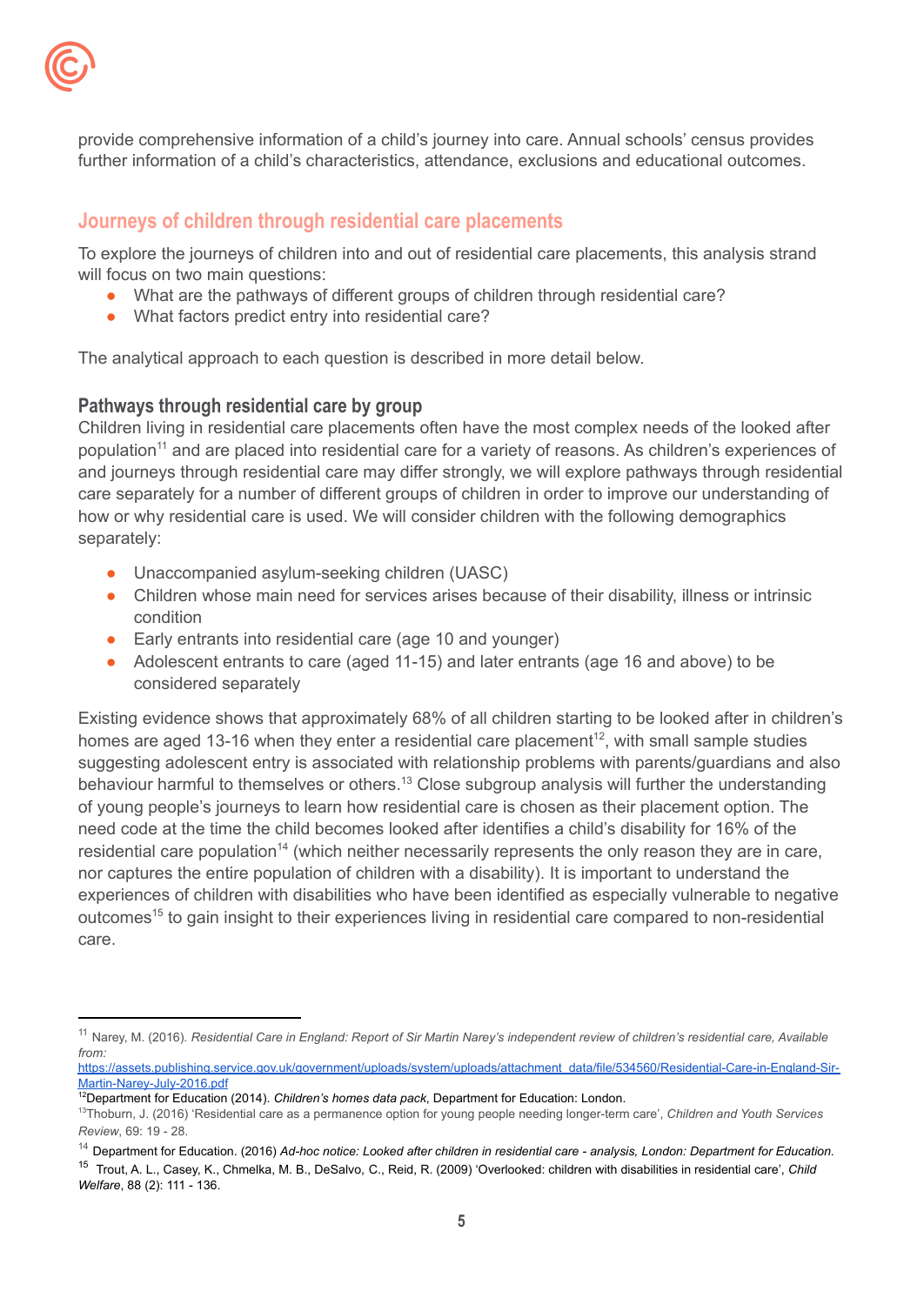

provide comprehensive information of a child's journey into care. Annual schools' census provides further information of a child's characteristics, attendance, exclusions and educational outcomes.

## <span id="page-4-0"></span>**Journeys of children through residential care placements**

To explore the journeys of children into and out of residential care placements, this analysis strand will focus on two main questions:

- What are the pathways of different groups of children through residential care?
- What factors predict entry into residential care?

The analytical approach to each question is described in more detail below.

## <span id="page-4-1"></span>**Pathways through residential care by group**

Children living in residential care placements often have the most complex needs of the looked after population<sup>11</sup> and are placed into residential care for a variety of reasons. As children's experiences of and journeys through residential care may differ strongly, we will explore pathways through residential care separately for a number of different groups of children in order to improve our understanding of how or why residential care is used. We will consider children with the following demographics separately:

- Unaccompanied asylum-seeking children (UASC)
- Children whose main need for services arises because of their disability, illness or intrinsic condition
- Early entrants into residential care (age 10 and younger)
- Adolescent entrants to care (aged 11-15) and later entrants (age 16 and above) to be considered separately

Existing evidence shows that approximately 68% of all children starting to be looked after in children's homes are aged 13-16 when they enter a residential care placement<sup>12</sup>, with small sample studies suggesting adolescent entry is associated with relationship problems with parents/guardians and also behaviour harmful to themselves or others.<sup>13</sup> Close subgroup analysis will further the understanding of young people's journeys to learn how residential care is chosen as their placement option. The need code at the time the child becomes looked after identifies a child's disability for 16% of the residential care population<sup>14</sup> (which neither necessarily represents the only reason they are in care, nor captures the entire population of children with a disability). It is important to understand the experiences of children with disabilities who have been identified as especially vulnerable to negative outcomes<sup>15</sup> to gain insight to their experiences living in residential care compared to non-residential care.

<sup>&</sup>lt;sup>11</sup> Narey, M. (2016). Residential Care in England: Report of Sir Martin Narey's independent review of children's residential care, Available *from:*

[https://assets.publishing.service.gov.uk/government/uploads/system/uploads/attachment\\_data/file/534560/Residential-Care-in-England-Sir-](https://assets.publishing.service.gov.uk/government/uploads/system/uploads/attachment_data/file/534560/Residential-Care-in-England-Sir-Martin-Narey-July-2016.pdf)[Martin-Narey-July-2016.pdf](https://assets.publishing.service.gov.uk/government/uploads/system/uploads/attachment_data/file/534560/Residential-Care-in-England-Sir-Martin-Narey-July-2016.pdf)

<sup>12</sup>Department for Education (2014). *Children's homes data pack*, Department for Education: London.

<sup>13</sup>Thoburn, J. (2016) 'Residential care as a permanence option for young people needing longer-term care', *Children and Youth Services Review*, 69: 19 - 28.

<sup>&</sup>lt;sup>14</sup> Department for Education. (2016) Ad-hoc notice: Looked after children in residential care - analysis, London: Department for Education.

<sup>15</sup> Trout, A. L., Casey, K., Chmelka, M. B., DeSalvo, C., Reid, R. (2009) 'Overlooked: children with disabilities in residential care', *Child Welfare*, 88 (2): 111 - 136.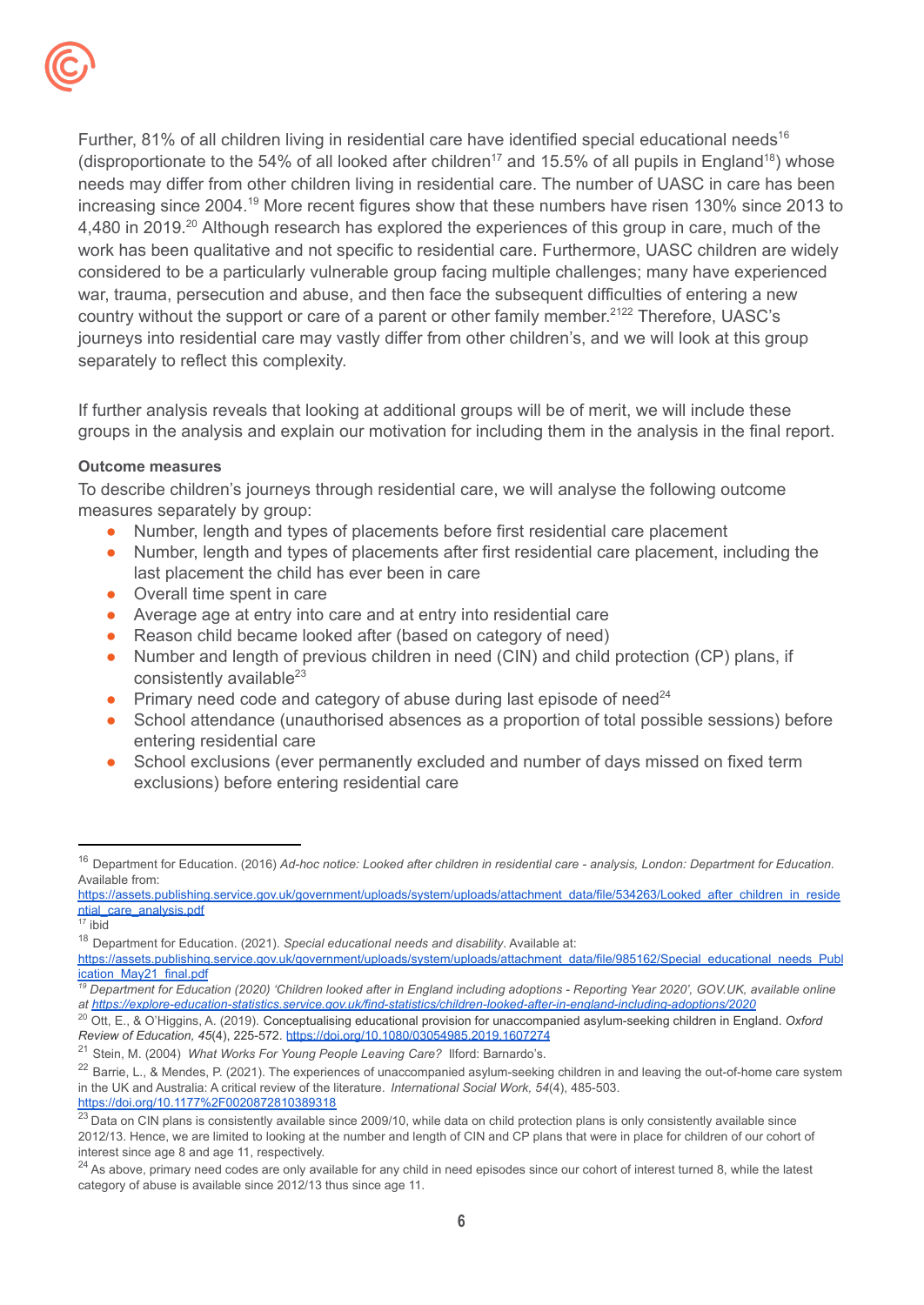

Further, 81% of all children living in residential care have identified special educational needs<sup>16</sup> (disproportionate to the 54% of all looked after children<sup>17</sup> and 15.5% of all pupils in England<sup>18</sup>) whose needs may differ from other children living in residential care. The number of UASC in care has been increasing since 2004.<sup>19</sup> More recent figures show that these numbers have risen 130% since 2013 to 4,480 in 2019.<sup>20</sup> Although research has explored the experiences of this group in care, much of the work has been qualitative and not specific to residential care. Furthermore, UASC children are widely considered to be a particularly vulnerable group facing multiple challenges; many have experienced war, trauma, persecution and abuse, and then face the subsequent difficulties of entering a new country without the support or care of a parent or other family member.<sup>2122</sup> Therefore, UASC's journeys into residential care may vastly differ from other children's, and we will look at this group separately to reflect this complexity.

If further analysis reveals that looking at additional groups will be of merit, we will include these groups in the analysis and explain our motivation for including them in the analysis in the final report.

#### <span id="page-5-0"></span>**Outcome measures**

To describe children's journeys through residential care, we will analyse the following outcome measures separately by group:

- Number, length and types of placements before first residential care placement
- Number, length and types of placements after first residential care placement, including the last placement the child has ever been in care
- Overall time spent in care
- Average age at entry into care and at entry into residential care
- Reason child became looked after (based on category of need)
- Number and length of previous children in need (CIN) and child protection (CP) plans, if consistently available<sup>23</sup>
- Primary need code and category of abuse during last episode of need $^{24}$
- School attendance (unauthorised absences as a proportion of total possible sessions) before entering residential care
- School exclusions (ever permanently excluded and number of days missed on fixed term exclusions) before entering residential care

<sup>19</sup> Department for Education (2020) 'Children looked after in England including adoptions - Reporting Year 2020', GOV.UK, available online *at <https://explore-education-statistics.service.gov.uk/find-statistics/children-looked-after-in-england-including-adoptions/2020>*

<sup>&</sup>lt;sup>16</sup> Department for Education. (2016) Ad-hoc notice: Looked after children in residential care - analysis, London: Department for Education. Available from:

[https://assets.publishing.service.gov.uk/government/uploads/system/uploads/attachment\\_data/file/534263/Looked\\_after\\_children\\_in\\_reside](https://assets.publishing.service.gov.uk/government/uploads/system/uploads/attachment_data/file/534263/Looked_after_children_in_residential_care_analysis.pdf) [ntial\\_care\\_analysis.pdf](https://assets.publishing.service.gov.uk/government/uploads/system/uploads/attachment_data/file/534263/Looked_after_children_in_residential_care_analysis.pdf)

<sup>17</sup> ibid

<sup>18</sup> Department for Education. (2021). *Special educational needs and disability*. Available at:

[https://assets.publishing.service.gov.uk/government/uploads/system/uploads/attachment\\_data/file/985162/Special\\_educational\\_needs\\_Publ](https://assets.publishing.service.gov.uk/government/uploads/system/uploads/attachment_data/file/985162/Special_educational_needs_Publication_May21_final.pdf) [ication\\_May21\\_final.pdf](https://assets.publishing.service.gov.uk/government/uploads/system/uploads/attachment_data/file/985162/Special_educational_needs_Publication_May21_final.pdf)

<sup>20</sup> Ott, E., & O'Higgins, A. (2019). Conceptualising educational provision for unaccompanied asylum-seeking children in England. *Oxford Review of Education, 45*(4), 225-572. <https://doi.org/10.1080/03054985.2019.1607274>

<sup>21</sup> Stein, M. (2004) *What Works For Young People Leaving Care?* Ilford: Barnardo's.

<sup>&</sup>lt;sup>22</sup> Barrie, L., & Mendes, P. (2021). The experiences of unaccompanied asylum-seeking children in and leaving the out-of-home care system in the UK and Australia: A critical review of the literature. *International Social Work, 54*(4), 485-503. <https://doi.org/10.1177%2F0020872810389318>

<sup>&</sup>lt;sup>23</sup> Data on CIN plans is consistently available since 2009/10, while data on child protection plans is only consistently available since 2012/13. Hence, we are limited to looking at the number and length of CIN and CP plans that were in place for children of our cohort of interest since age 8 and age 11, respectively.

<sup>&</sup>lt;sup>24</sup> As above, primary need codes are only available for any child in need episodes since our cohort of interest turned 8, while the latest category of abuse is available since 2012/13 thus since age 11.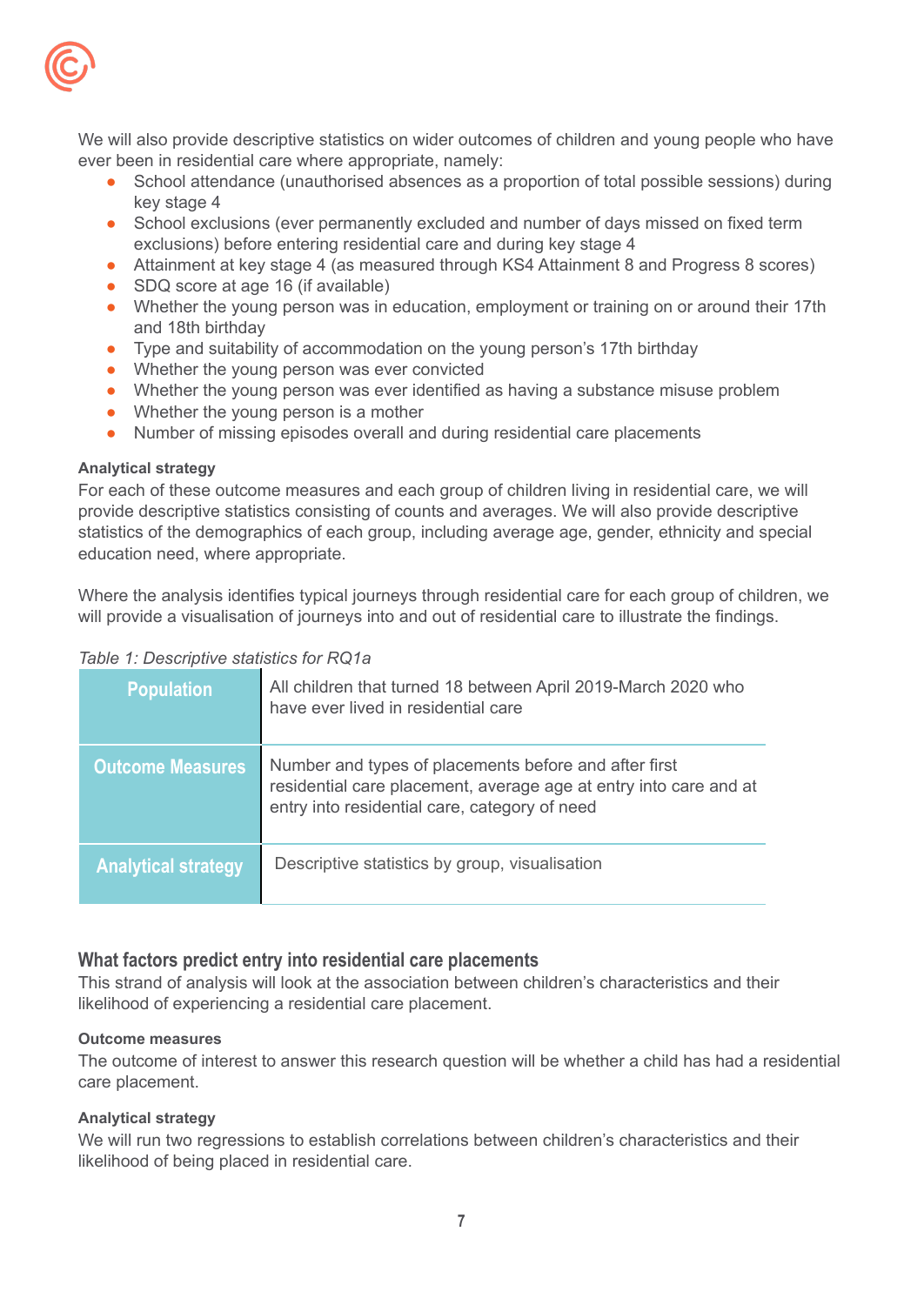

We will also provide descriptive statistics on wider outcomes of children and young people who have ever been in residential care where appropriate, namely:

- School attendance (unauthorised absences as a proportion of total possible sessions) during key stage 4
- School exclusions (ever permanently excluded and number of days missed on fixed term exclusions) before entering residential care and during key stage 4
- Attainment at key stage 4 (as measured through KS4 Attainment 8 and Progress 8 scores)
- SDQ score at age 16 (if available)
- Whether the young person was in education, employment or training on or around their 17th and 18th birthday
- Type and suitability of accommodation on the young person's 17th birthday
- Whether the young person was ever convicted
- Whether the young person was ever identified as having a substance misuse problem
- Whether the young person is a mother
- Number of missing episodes overall and during residential care placements

#### <span id="page-6-0"></span>**Analytical strategy**

For each of these outcome measures and each group of children living in residential care, we will provide descriptive statistics consisting of counts and averages. We will also provide descriptive statistics of the demographics of each group, including average age, gender, ethnicity and special education need, where appropriate.

Where the analysis identifies typical journeys through residential care for each group of children, we will provide a visualisation of journeys into and out of residential care to illustrate the findings.

| <b>Population</b>          | All children that turned 18 between April 2019-March 2020 who<br>have ever lived in residential care                                                                        |
|----------------------------|-----------------------------------------------------------------------------------------------------------------------------------------------------------------------------|
| <b>Outcome Measures</b>    | Number and types of placements before and after first<br>residential care placement, average age at entry into care and at<br>entry into residential care, category of need |
| <b>Analytical strategy</b> | Descriptive statistics by group, visualisation                                                                                                                              |

## <span id="page-6-1"></span>**What factors predict entry into residential care placements**

This strand of analysis will look at the association between children's characteristics and their likelihood of experiencing a residential care placement.

#### <span id="page-6-2"></span>**Outcome measures**

The outcome of interest to answer this research question will be whether a child has had a residential care placement.

#### <span id="page-6-3"></span>**Analytical strategy**

We will run two regressions to establish correlations between children's characteristics and their likelihood of being placed in residential care.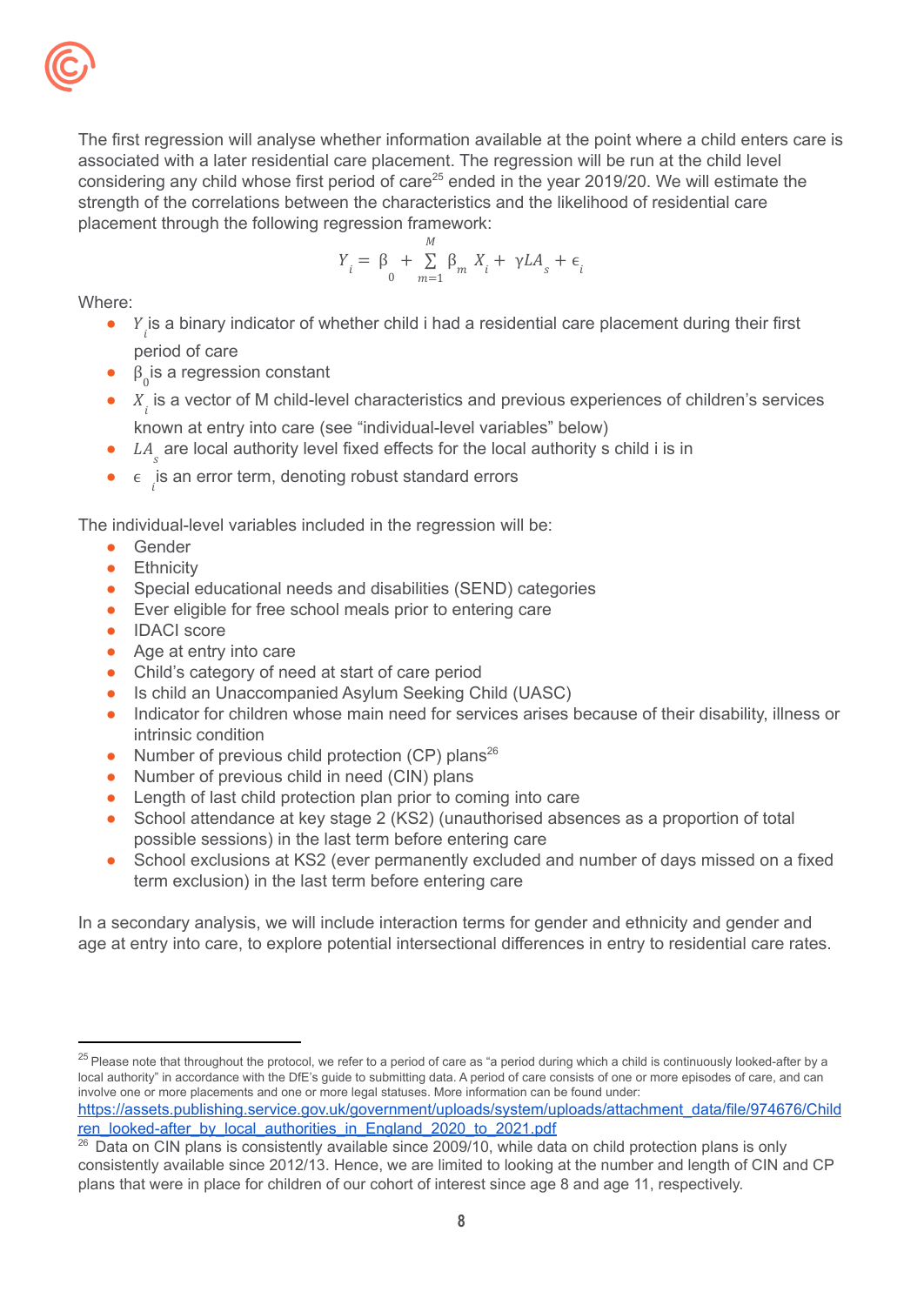

The first regression will analyse whether information available at the point where a child enters care is associated with a later residential care placement. The regression will be run at the child level considering any child whose first period of care<sup>25</sup> ended in the year 2019/20. We will estimate the strength of the correlations between the characteristics and the likelihood of residential care placement through the following regression framework:

$$
Y_{i} = \beta_{0} + \sum_{m=1}^{M} \beta_{m} X_{i} + \gamma L A_{s} + \epsilon_{i}
$$

Where:

- $\bullet$   $Y_i$  is a binary indicator of whether child i had a residential care placement during their first period of care
- $\bullet$   $\beta_0$  is a regression constant
- $\bullet$   $X_i$  is a vector of M child-level characteristics and previous experiences of children's services known at entry into care (see "individual-level variables" below)
- $\bullet$  LA<sub>s</sub> are local authority level fixed effects for the local authority s child i is in
- $\bullet$   $\epsilon$  is an error term, denoting robust standard errors

The individual-level variables included in the regression will be:

- Gender
- **•** Ethnicity
- Special educational needs and disabilities (SEND) categories
- Ever eligible for free school meals prior to entering care
- IDACI score
- Age at entry into care
- Child's category of need at start of care period
- Is child an Unaccompanied Asylum Seeking Child (UASC)
- Indicator for children whose main need for services arises because of their disability, illness or intrinsic condition
- Number of previous child protection (CP) plans<sup>26</sup>
- Number of previous child in need (CIN) plans
- Length of last child protection plan prior to coming into care
- School attendance at key stage 2 (KS2) (unauthorised absences as a proportion of total possible sessions) in the last term before entering care
- School exclusions at KS2 (ever permanently excluded and number of days missed on a fixed term exclusion) in the last term before entering care

In a secondary analysis, we will include interaction terms for gender and ethnicity and gender and age at entry into care, to explore potential intersectional differences in entry to residential care rates.

```
https://assets.publishing.service.gov.uk/government/uploads/system/uploads/attachment_data/file/974676/Child
ren_looked-after_by_local_authorities_in_England_2020_to_2021.pdf
```
 $25$  Please note that throughout the protocol, we refer to a period of care as "a period during which a child is continuously looked-after by a local authority" in accordance with the DfE's guide to submitting data. A period of care consists of one or more episodes of care, and can involve one or more placements and one or more legal statuses. More information can be found under:

<sup>&</sup>lt;sup>26</sup> Data on CIN plans is consistently available since 2009/10, while data on child protection plans is only consistently available since 2012/13. Hence, we are limited to looking at the number and length of CIN and CP plans that were in place for children of our cohort of interest since age 8 and age 11, respectively.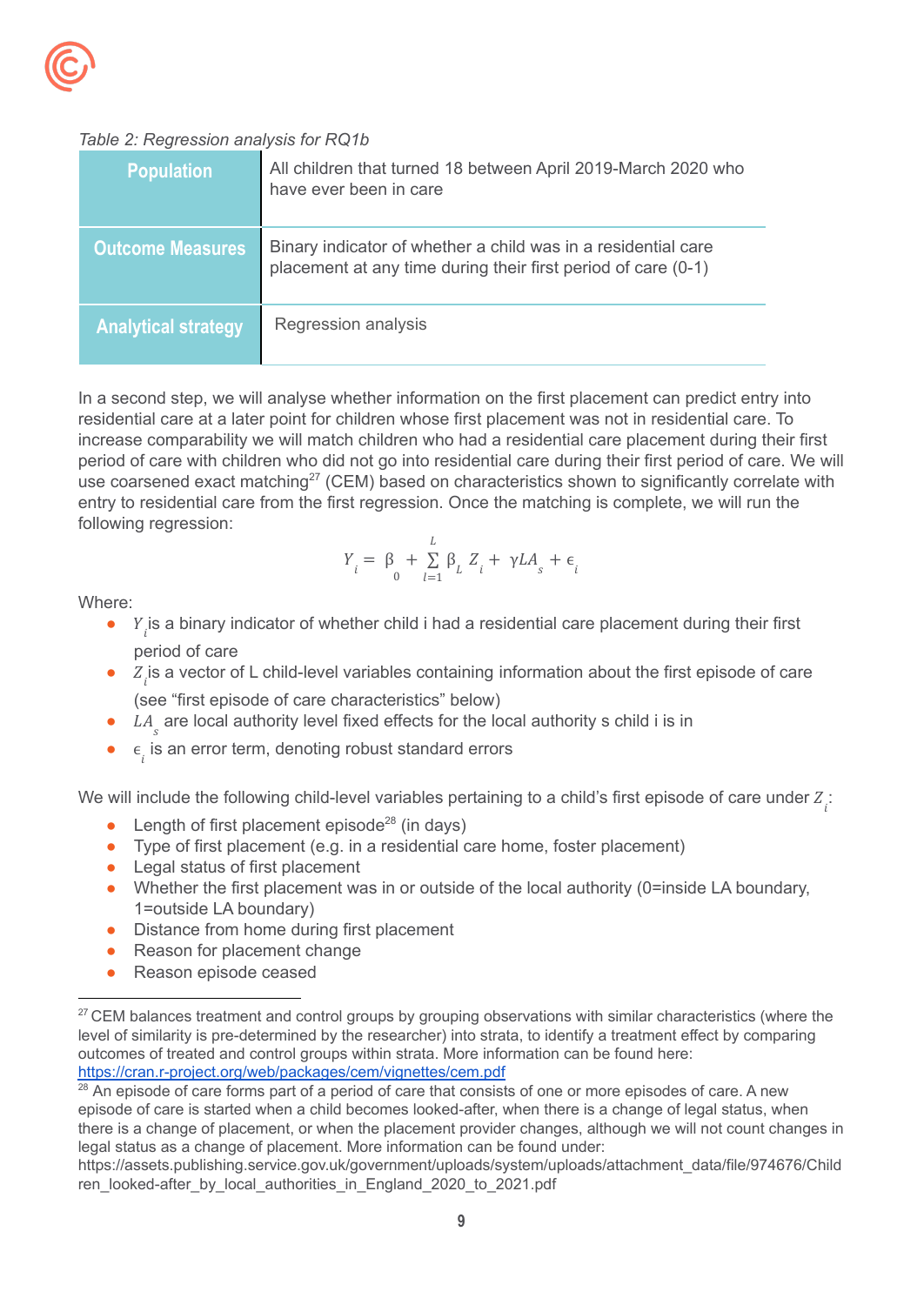## *Table 2: Regression analysis for RQ1b*

| <b>Population</b>          | All children that turned 18 between April 2019-March 2020 who<br>have ever been in care                                        |
|----------------------------|--------------------------------------------------------------------------------------------------------------------------------|
| <b>Outcome Measures</b>    | Binary indicator of whether a child was in a residential care<br>placement at any time during their first period of care (0-1) |
| <b>Analytical strategy</b> | Regression analysis                                                                                                            |

In a second step, we will analyse whether information on the first placement can predict entry into residential care at a later point for children whose first placement was not in residential care. To increase comparability we will match children who had a residential care placement during their first period of care with children who did not go into residential care during their first period of care. We will use coarsened exact matching<sup>27</sup> (CEM) based on characteristics shown to significantly correlate with entry to residential care from the first regression. Once the matching is complete, we will run the following regression:

$$
Y_{i} = \beta_{0} + \sum_{l=1}^{L} \beta_{L} Z_{i} + \gamma L A_{s} + \epsilon_{i}
$$

Where:

- $\bullet$   $Y_i$  is a binary indicator of whether child i had a residential care placement during their first period of care
- $\bullet$   $Z_i$  is a vector of L child-level variables containing information about the first episode of care (see "first episode of care characteristics" below)
- $\bullet$  LA<sub>s</sub> are local authority level fixed effects for the local authority s child i is in
- $\bullet$   $\epsilon$ <sub>i</sub> is an error term, denoting robust standard errors

We will include the following child-level variables pertaining to a child's first episode of care under  $Z_{\vec{i}}$ :

- Length of first placement episode<sup>28</sup> (in days)
- Type of first placement (e.g. in a residential care home, foster placement)
- Legal status of first placement
- Whether the first placement was in or outside of the local authority (0=inside LA boundary, 1=outside LA boundary)
- Distance from home during first placement
- Reason for placement change
- Reason episode ceased

<sup>&</sup>lt;sup>27</sup> CEM balances treatment and control groups by grouping observations with similar characteristics (where the level of similarity is pre-determined by the researcher) into strata, to identify a treatment effect by comparing outcomes of treated and control groups within strata. More information can be found here: <https://cran.r-project.org/web/packages/cem/vignettes/cem.pdf>

An episode of care forms part of a period of care that consists of one or more episodes of care. A new episode of care is started when a child becomes looked-after, when there is a change of legal status, when there is a change of placement, or when the placement provider changes, although we will not count changes in legal status as a change of placement. More information can be found under:

https://assets.publishing.service.gov.uk/government/uploads/system/uploads/attachment\_data/file/974676/Child ren\_looked-after\_by\_local\_authorities\_in\_England\_2020\_to\_2021.pdf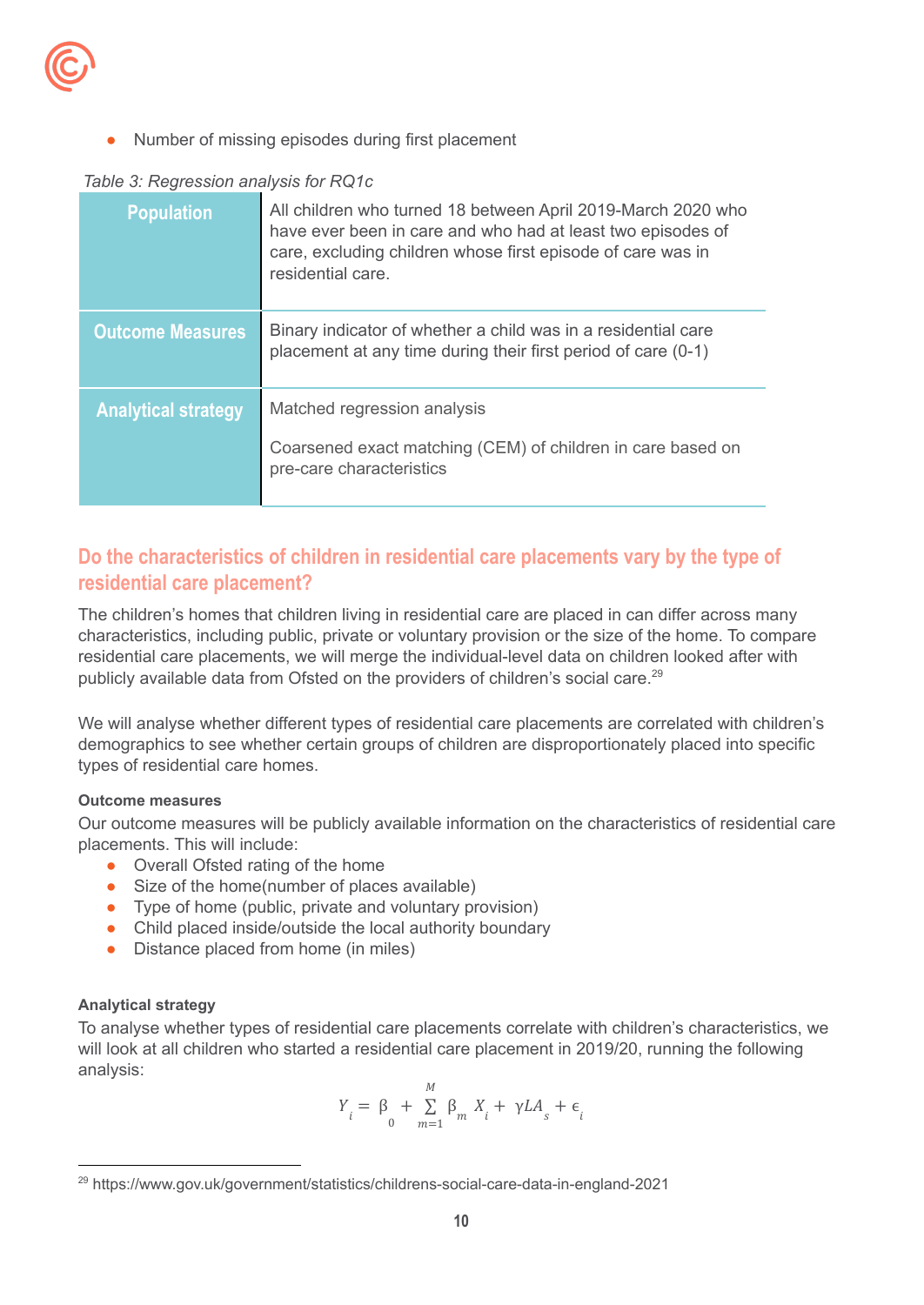

Number of missing episodes during first placement

## *Table 3: Regression analysis for RQ1c*

| <b>Population</b>          | All children who turned 18 between April 2019-March 2020 who<br>have ever been in care and who had at least two episodes of<br>care, excluding children whose first episode of care was in<br>residential care. |
|----------------------------|-----------------------------------------------------------------------------------------------------------------------------------------------------------------------------------------------------------------|
| <b>Outcome Measures</b>    | Binary indicator of whether a child was in a residential care<br>placement at any time during their first period of care (0-1)                                                                                  |
| <b>Analytical strategy</b> | Matched regression analysis<br>Coarsened exact matching (CEM) of children in care based on<br>pre-care characteristics                                                                                          |

## <span id="page-9-0"></span>**Do the characteristics of children in residential care placements vary by the type of residential care placement?**

The children's homes that children living in residential care are placed in can differ across many characteristics, including public, private or voluntary provision or the size of the home. To compare residential care placements, we will merge the individual-level data on children looked after with publicly available data from Ofsted on the providers of children's social care.<sup>29</sup>

We will analyse whether different types of residential care placements are correlated with children's demographics to see whether certain groups of children are disproportionately placed into specific types of residential care homes.

#### <span id="page-9-1"></span>**Outcome measures**

Our outcome measures will be publicly available information on the characteristics of residential care placements. This will include:

- Overall Ofsted rating of the home
- Size of the home(number of places available)
- Type of home (public, private and voluntary provision)
- Child placed inside/outside the local authority boundary
- Distance placed from home (in miles)

## <span id="page-9-2"></span>**Analytical strategy**

To analyse whether types of residential care placements correlate with children's characteristics, we will look at all children who started a residential care placement in 2019/20, running the following analysis:

$$
Y_{i} = \beta_{0} + \sum_{m=1}^{M} \beta_{m} X_{i} + \gamma L A_{s} + \epsilon_{i}
$$

<sup>29</sup> https://www.gov.uk/government/statistics/childrens-social-care-data-in-england-2021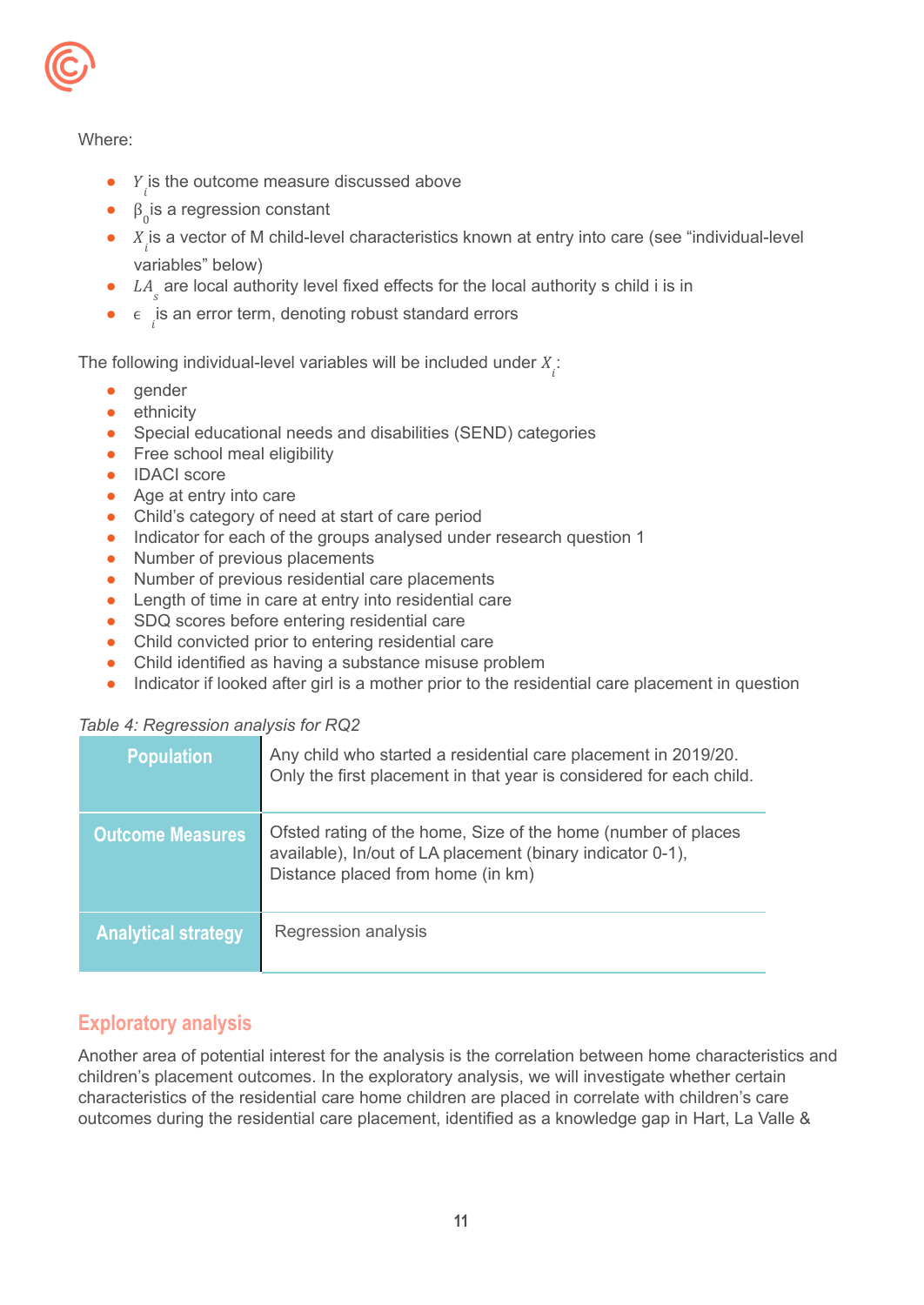

## Where:

- $\bullet$   $Y_i$  is the outcome measure discussed above
- $\bullet$   $\beta_0$  is a regression constant
- $\bullet$   $X_i$  is a vector of M child-level characteristics known at entry into care (see "individual-level variables" below)
- $\bullet$  LA<sub>s</sub> are local authority level fixed effects for the local authority s child i is in
- $\bullet$   $\epsilon$  is an error term, denoting robust standard errors

The following individual-level variables will be included under  $X_i$ :

- gender
- **•** ethnicity
- Special educational needs and disabilities (SEND) categories
- Free school meal eligibility
- IDACI score
- Age at entry into care
- Child's category of need at start of care period
- Indicator for each of the groups analysed under research question 1
- Number of previous placements
- Number of previous residential care placements
- Length of time in care at entry into residential care
- SDQ scores before entering residential care
- Child convicted prior to entering residential care
- Child identified as having a substance misuse problem
- Indicator if looked after girl is a mother prior to the residential care placement in question

#### *Table 4: Regression analysis for RQ2*

| <b>Population</b>          | Any child who started a residential care placement in 2019/20.<br>Only the first placement in that year is considered for each child.                            |
|----------------------------|------------------------------------------------------------------------------------------------------------------------------------------------------------------|
| <b>Outcome Measures</b>    | Ofsted rating of the home, Size of the home (number of places<br>available), In/out of LA placement (binary indicator 0-1),<br>Distance placed from home (in km) |
| <b>Analytical strategy</b> | Regression analysis                                                                                                                                              |

## <span id="page-10-0"></span>**Exploratory analysis**

Another area of potential interest for the analysis is the correlation between home characteristics and children's placement outcomes. In the exploratory analysis, we will investigate whether certain characteristics of the residential care home children are placed in correlate with children's care outcomes during the residential care placement, identified as a knowledge gap in Hart, La Valle &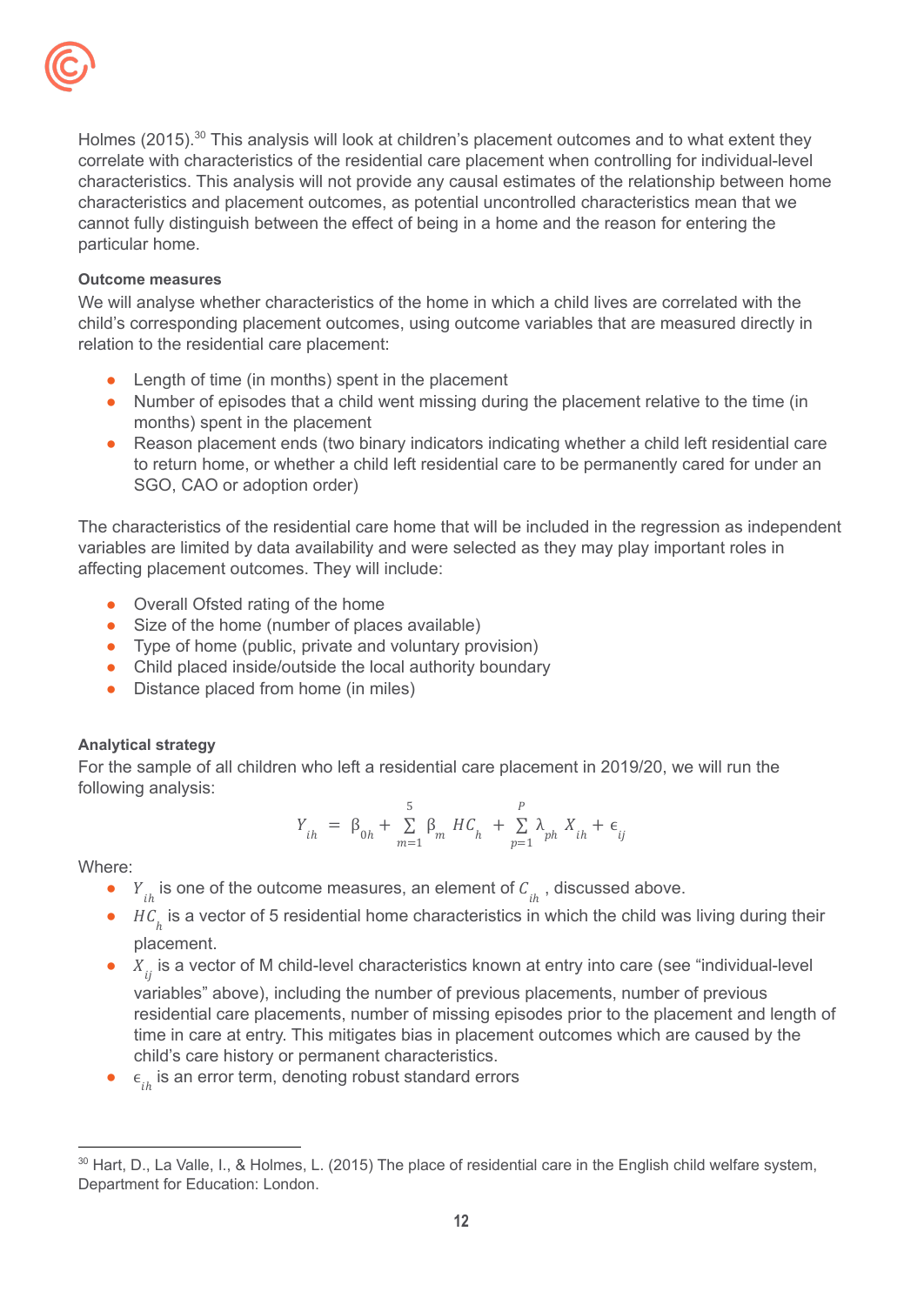

Holmes (2015).<sup>30</sup> This analysis will look at children's placement outcomes and to what extent they correlate with characteristics of the residential care placement when controlling for individual-level characteristics. This analysis will not provide any causal estimates of the relationship between home characteristics and placement outcomes, as potential uncontrolled characteristics mean that we cannot fully distinguish between the effect of being in a home and the reason for entering the particular home.

#### <span id="page-11-0"></span>**Outcome measures**

We will analyse whether characteristics of the home in which a child lives are correlated with the child's corresponding placement outcomes, using outcome variables that are measured directly in relation to the residential care placement:

- Length of time (in months) spent in the placement
- Number of episodes that a child went missing during the placement relative to the time (in months) spent in the placement
- Reason placement ends (two binary indicators indicating whether a child left residential care to return home, or whether a child left residential care to be permanently cared for under an SGO, CAO or adoption order)

The characteristics of the residential care home that will be included in the regression as independent variables are limited by data availability and were selected as they may play important roles in affecting placement outcomes. They will include:

- Overall Ofsted rating of the home
- Size of the home (number of places available)
- Type of home (public, private and voluntary provision)
- Child placed inside/outside the local authority boundary
- Distance placed from home (in miles)

#### <span id="page-11-1"></span>**Analytical strategy**

For the sample of all children who left a residential care placement in 2019/20, we will run the following analysis:

$$
Y_{ih} = \beta_{0h} + \sum_{m=1}^{5} \beta_m HC_h + \sum_{p=1}^{P} \lambda_{ph} X_{ih} + \epsilon_{ij}
$$

Where:

- $Y_{ih}$  is one of the outcome measures, an element of  $C_{ih}$ , discussed above.
- $HC<sub>h</sub>$  is a vector of 5 residential home characteristics in which the child was living during their placement.
- $\bullet$   $X_{ij}$  is a vector of M child-level characteristics known at entry into care (see "individual-level variables" above), including the number of previous placements, number of previous residential care placements, number of missing episodes prior to the placement and length of time in care at entry. This mitigates bias in placement outcomes which are caused by the child's care history or permanent characteristics.
- $\epsilon_{ih}$  is an error term, denoting robust standard errors

<sup>&</sup>lt;sup>30</sup> Hart, D., La Valle, I., & Holmes, L. (2015) The place of residential care in the English child welfare system, Department for Education: London.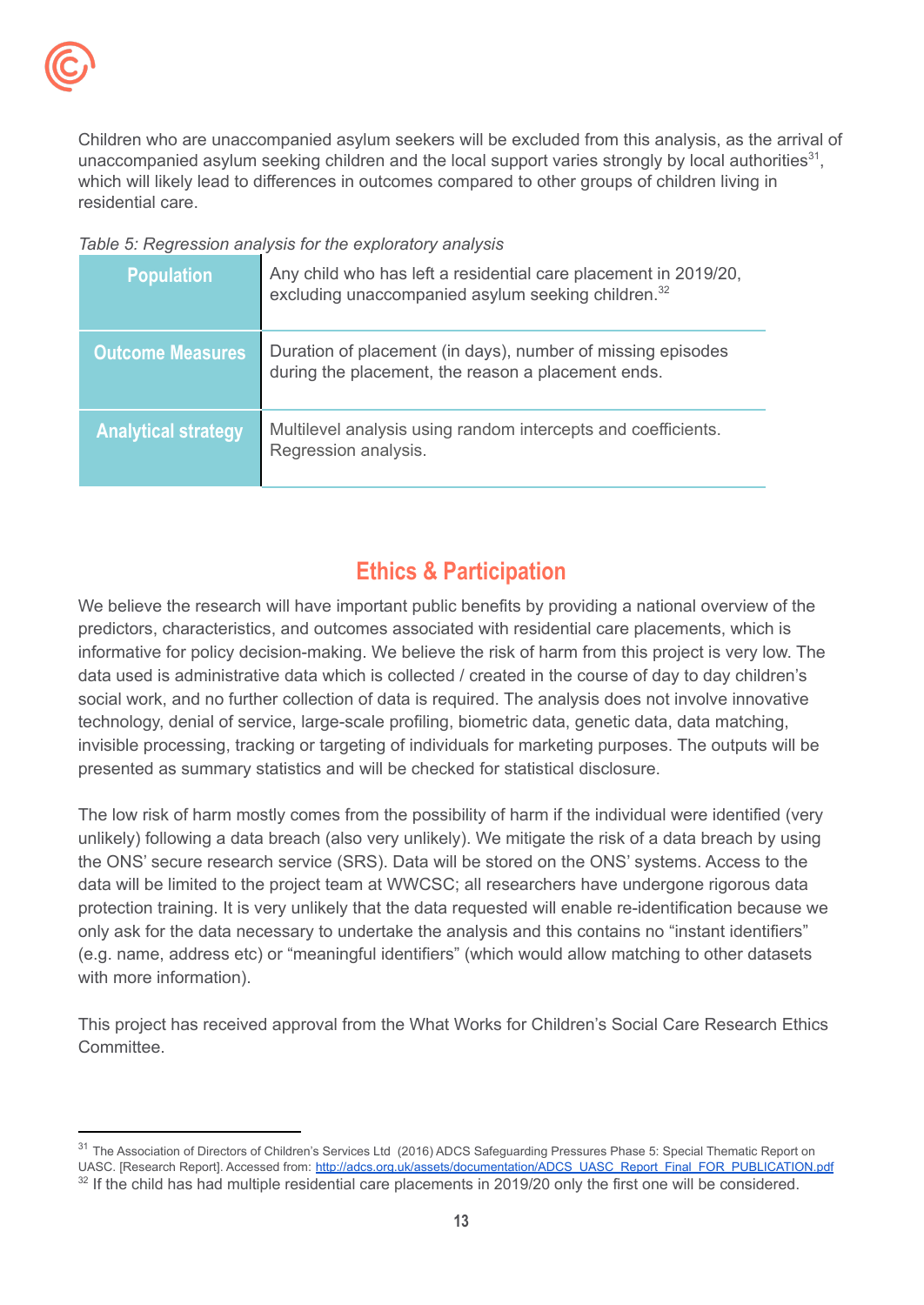

Children who are unaccompanied asylum seekers will be excluded from this analysis, as the arrival of unaccompanied asylum seeking children and the local support varies strongly by local authorities<sup>31</sup>, which will likely lead to differences in outcomes compared to other groups of children living in residential care.

*Table 5: Regression analysis for the exploratory analysis*

| <b>Population</b>          | Any child who has left a residential care placement in 2019/20,<br>excluding unaccompanied asylum seeking children. <sup>32</sup> |
|----------------------------|-----------------------------------------------------------------------------------------------------------------------------------|
| <b>Outcome Measures</b>    | Duration of placement (in days), number of missing episodes<br>during the placement, the reason a placement ends.                 |
| <b>Analytical strategy</b> | Multilevel analysis using random intercepts and coefficients.<br>Regression analysis.                                             |

# **Ethics & Participation**

<span id="page-12-0"></span>We believe the research will have important public benefits by providing a national overview of the predictors, characteristics, and outcomes associated with residential care placements, which is informative for policy decision-making. We believe the risk of harm from this project is very low. The data used is administrative data which is collected / created in the course of day to day children's social work, and no further collection of data is required. The analysis does not involve innovative technology, denial of service, large-scale profiling, biometric data, genetic data, data matching, invisible processing, tracking or targeting of individuals for marketing purposes. The outputs will be presented as summary statistics and will be checked for statistical disclosure.

The low risk of harm mostly comes from the possibility of harm if the individual were identified (very unlikely) following a data breach (also very unlikely). We mitigate the risk of a data breach by using the ONS' secure research service (SRS). Data will be stored on the ONS' systems. Access to the data will be limited to the project team at WWCSC; all researchers have undergone rigorous data protection training. It is very unlikely that the data requested will enable re-identification because we only ask for the data necessary to undertake the analysis and this contains no "instant identifiers" (e.g. name, address etc) or "meaningful identifiers" (which would allow matching to other datasets with more information).

This project has received approval from the What Works for Children's Social Care Research Ethics Committee.

<sup>&</sup>lt;sup>31</sup> The Association of Directors of Children's Services Ltd (2016) ADCS Safeguarding Pressures Phase 5: Special Thematic Report on UASC. [Research Report]. Accessed from: [http://adcs.org.uk/assets/documentation/ADCS\\_UASC\\_Report\\_Final\\_FOR\\_PUBLICATION.pdf](http://adcs.org.uk/assets/documentation/ADCS_UASC_Report_Final_FOR_PUBLICATION.pdf)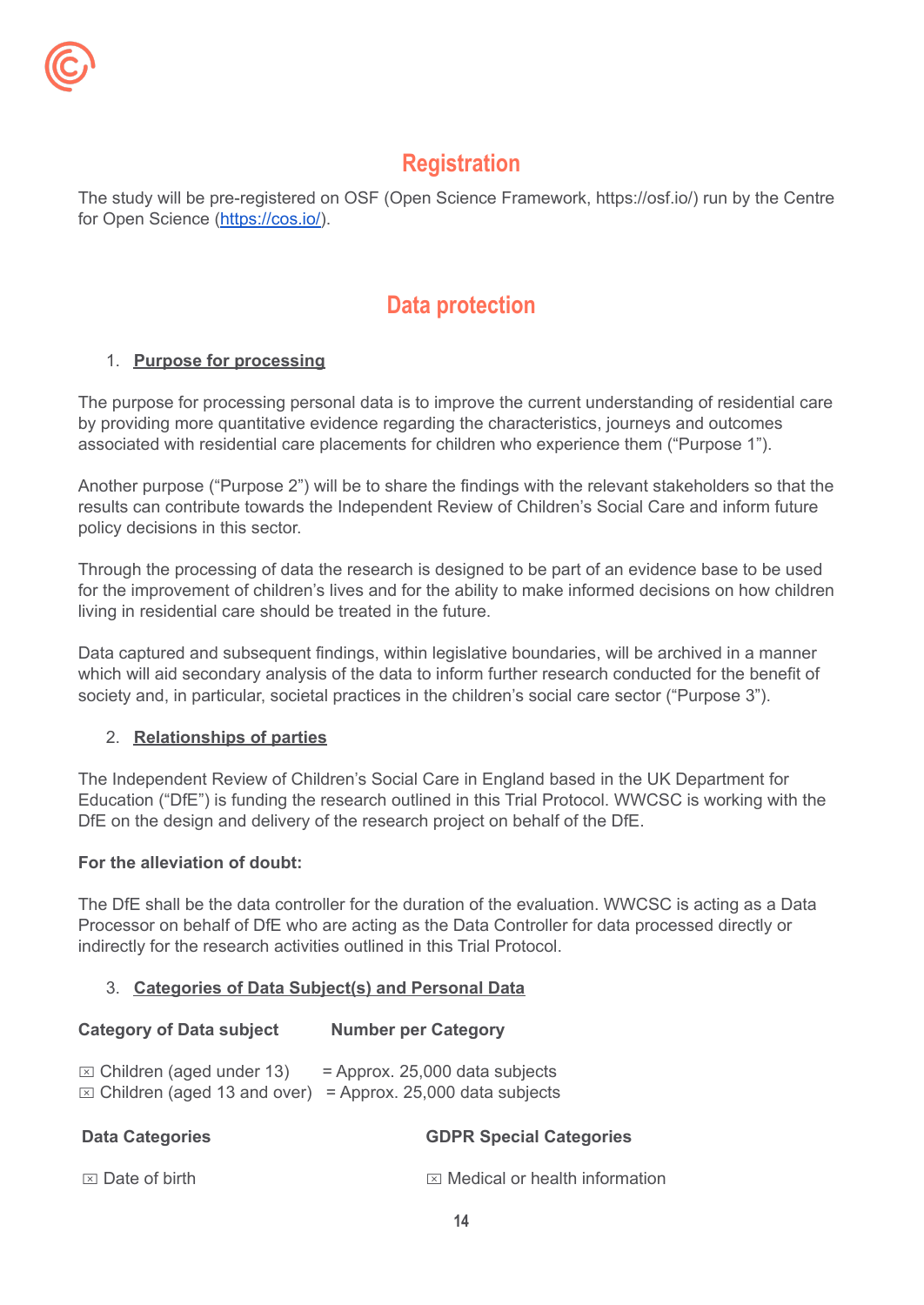

# **Registration**

The study will be pre-registered on OSF (Open Science Framework, https://osf.io/) run by the Centre for Open Science [\(https://cos.io/\)](https://cos.io/).

# **Data protection**

## <span id="page-13-0"></span>1. **Purpose for processing**

The purpose for processing personal data is to improve the current understanding of residential care by providing more quantitative evidence regarding the characteristics, journeys and outcomes associated with residential care placements for children who experience them ("Purpose 1").

Another purpose ("Purpose 2") will be to share the findings with the relevant stakeholders so that the results can contribute towards the Independent Review of Children's Social Care and inform future policy decisions in this sector.

Through the processing of data the research is designed to be part of an evidence base to be used for the improvement of children's lives and for the ability to make informed decisions on how children living in residential care should be treated in the future.

Data captured and subsequent findings, within legislative boundaries, will be archived in a manner which will aid secondary analysis of the data to inform further research conducted for the benefit of society and, in particular, societal practices in the children's social care sector ("Purpose 3").

## 2. **Relationships of parties**

The Independent Review of Children's Social Care in England based in the UK Department for Education ("DfE") is funding the research outlined in this Trial Protocol. WWCSC is working with the DfE on the design and delivery of the research project on behalf of the DfE.

## **For the alleviation of doubt:**

The DfE shall be the data controller for the duration of the evaluation. WWCSC is acting as a Data Processor on behalf of DfE who are acting as the Data Controller for data processed directly or indirectly for the research activities outlined in this Trial Protocol.

## 3. **Categories of Data Subject(s) and Personal Data**

## **Category of Data subject Number per Category**

 $\boxtimes$  Children (aged under 13) = Approx. 25,000 data subjects  $\boxtimes$  Children (aged 13 and over) = Approx. 25,000 data subjects

| <b>Data Categories</b>    | <b>GDPR Special Categories</b>            |
|---------------------------|-------------------------------------------|
| $\boxtimes$ Date of birth | $\boxtimes$ Medical or health information |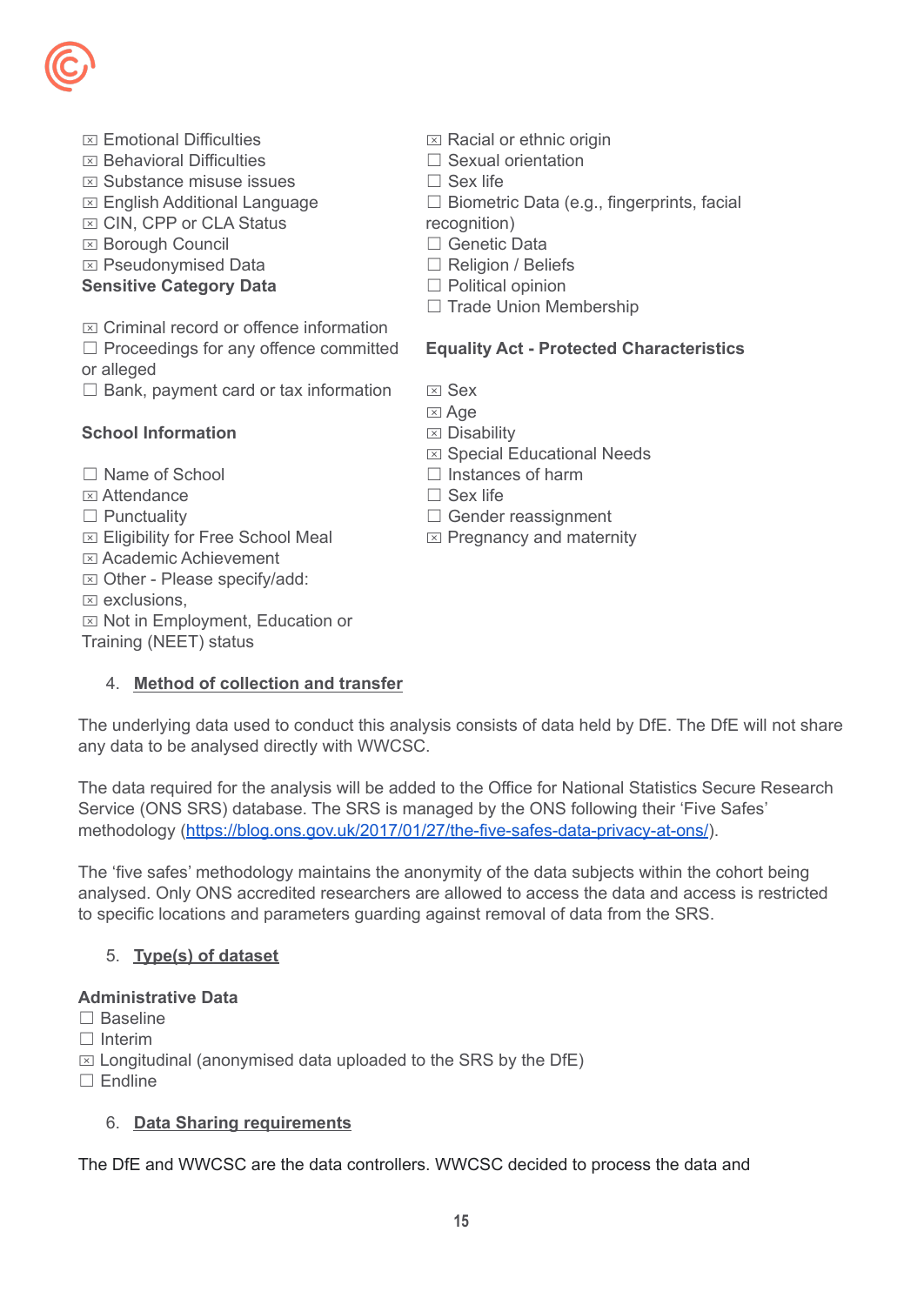

- $<sub>π</sub>$  Emotional Difficulties</sub>
- $\boxtimes$  Behavioral Difficulties
- ⌧ Substance misuse issues
- ⌧ English Additional Language
- $⊠$  **CIN, CPP or CLA Status**
- ⌧ Borough Council
- ⌧ Pseudonymised Data

## **Sensitive Category Data**

- $\overline{X}$  Criminal record or offence information
- ☐ Proceedings for any offence committed
- or alleged
- $\Box$  Bank, payment card or tax information

## **School Information**

- ☐ Name of School
- **EXI** Attendance
- □ Punctuality
- ⌧ Eligibility for Free School Meal
- ⌧ Academic Achievement
- ⌧ Other Please specify/add:
- $\boxtimes$  exclusions,
- ⌧ Not in Employment, Education or Training (NEET) status

## 4. **Method of collection and transfer**

- $\boxtimes$  Racial or ethnic origin
- □ Sexual orientation
- ☐ Sex life
- ☐ Biometric Data (e.g., fingerprints, facial
- recognition)
- ☐ Genetic Data
- ☐ Religion / Beliefs
- □ Political opinion
- □ Trade Union Membership

## **Equality Act - Protected Characteristics**

- $<sub>x</sub>$  Sex</sub>
- **⊠** Age
- $\boxtimes$  Disability
- ⌧ Special Educational Needs
- $\Box$  Instances of harm
- ☐ Sex life
- □ Gender reassignment
- $\boxtimes$  Pregnancy and maternity

The underlying data used to conduct this analysis consists of data held by DfE. The DfE will not share any data to be analysed directly with WWCSC.

The data required for the analysis will be added to the Office for National Statistics Secure Research Service (ONS SRS) database. The SRS is managed by the ONS following their 'Five Safes' methodology [\(https://blog.ons.gov.uk/2017/01/27/the-five-safes-data-privacy-at-ons/](https://blog.ons.gov.uk/2017/01/27/the-five-safes-data-privacy-at-ons/)).

The 'five safes' methodology maintains the anonymity of the data subjects within the cohort being analysed. Only ONS accredited researchers are allowed to access the data and access is restricted to specific locations and parameters guarding against removal of data from the SRS.

## 5. **Type(s) of dataset**

## **Administrative Data**

- ☐ Baseline
- ☐ Interim

 $\boxtimes$  Longitudinal (anonymised data uploaded to the SRS by the DfE)

☐ Endline

## 6. **Data Sharing requirements**

The DfE and WWCSC are the data controllers. WWCSC decided to process the data and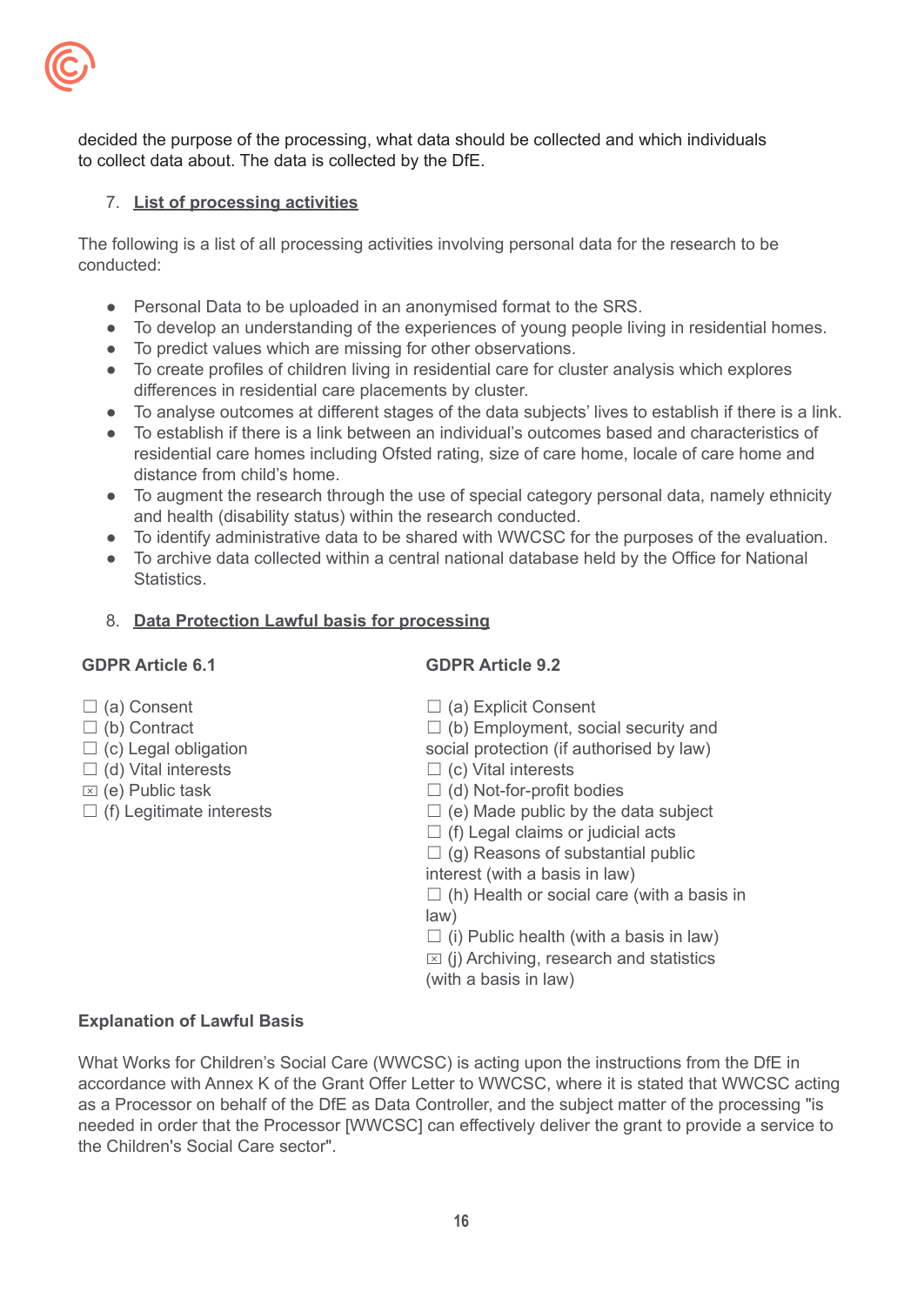

decided the purpose of the processing, what data should be collected and which individuals to collect data about. The data is collected by the DfE.

#### 7. **List of processing activities**

The following is a list of all processing activities involving personal data for the research to be conducted:

- Personal Data to be uploaded in an anonymised format to the SRS.
- To develop an understanding of the experiences of young people living in residential homes.
- To predict values which are missing for other observations.
- To create profiles of children living in residential care for cluster analysis which explores differences in residential care placements by cluster.
- To analyse outcomes at different stages of the data subjects' lives to establish if there is a link.
- To establish if there is a link between an individual's outcomes based and characteristics of residential care homes including Ofsted rating, size of care home, locale of care home and distance from child's home.
- To augment the research through the use of special category personal data, namely ethnicity and health (disability status) within the research conducted.
- To identify administrative data to be shared with WWCSC for the purposes of the evaluation.
- To archive data collected within a central national database held by the Office for National **Statistics**

#### 8. **Data Protection Lawful basis for processing**

#### **GDPR Article 6.1**

## **GDPR Article 9.2**

- □ (a) Consent
- ☐ (b) Contract
- $\Box$  (c) Legal obligation
- $\Box$  (d) Vital interests
- $\overline{X}$  (e) Public task
- $\Box$  (f) Legitimate interests
- □ (a) Explicit Consent
- $\Box$  (b) Employment, social security and
- social protection (if authorised by law)
- $\Box$  (c) Vital interests
- ☐ (d) Not-for-profit bodies
- $\Box$  (e) Made public by the data subject
- $\Box$  (f) Legal claims or judicial acts
- $\Box$  (g) Reasons of substantial public

interest (with a basis in law)

 $\Box$  (h) Health or social care (with a basis in law)

 $\Box$  (i) Public health (with a basis in law)

 $\boxtimes$  (i) Archiving, research and statistics

(with a basis in law)

#### **Explanation of Lawful Basis**

What Works for Children's Social Care (WWCSC) is acting upon the instructions from the DfE in accordance with Annex K of the Grant Offer Letter to WWCSC, where it is stated that WWCSC acting as a Processor on behalf of the DfE as Data Controller, and the subject matter of the processing "is needed in order that the Processor [WWCSC] can effectively deliver the grant to provide a service to the Children's Social Care sector".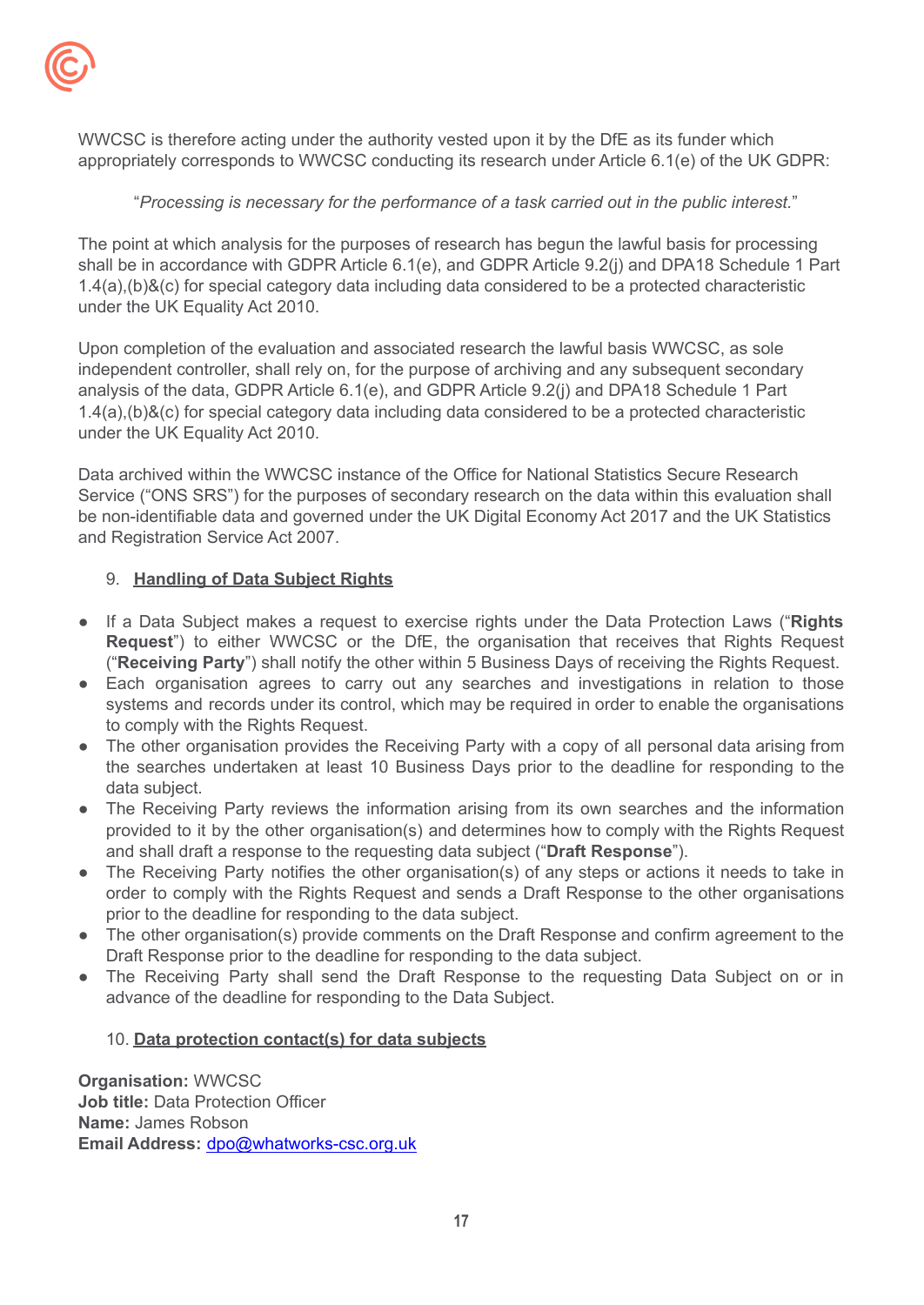

WWCSC is therefore acting under the authority vested upon it by the DfE as its funder which appropriately corresponds to WWCSC conducting its research under Article 6.1(e) of the UK GDPR:

#### "*Processing is necessary for the performance of a task carried out in the public interest.*"

The point at which analysis for the purposes of research has begun the lawful basis for processing shall be in accordance with GDPR Article 6.1(e), and GDPR Article 9.2(j) and DPA18 Schedule 1 Part 1.4(a),(b)&(c) for special category data including data considered to be a protected characteristic under the UK Equality Act 2010.

Upon completion of the evaluation and associated research the lawful basis WWCSC, as sole independent controller, shall rely on, for the purpose of archiving and any subsequent secondary analysis of the data, GDPR Article 6.1(e), and GDPR Article 9.2(j) and DPA18 Schedule 1 Part 1.4(a),(b)&(c) for special category data including data considered to be a protected characteristic under the UK Equality Act 2010.

Data archived within the WWCSC instance of the Office for National Statistics Secure Research Service ("ONS SRS") for the purposes of secondary research on the data within this evaluation shall be non-identifiable data and governed under the UK Digital Economy Act 2017 and the UK Statistics and Registration Service Act 2007.

#### 9. **Handling of Data Subject Rights**

- If a Data Subject makes a request to exercise rights under the Data Protection Laws ("**Rights Request**") to either WWCSC or the DfE, the organisation that receives that Rights Request ("**Receiving Party**") shall notify the other within 5 Business Days of receiving the Rights Request.
- Each organisation agrees to carry out any searches and investigations in relation to those systems and records under its control, which may be required in order to enable the organisations to comply with the Rights Request.
- <span id="page-16-0"></span>• The other organisation provides the Receiving Party with a copy of all personal data arising from the searches undertaken at least 10 Business Days prior to the deadline for responding to the data subject.
- The Receiving Party reviews the information arising from its own searches and the information provided to it by the other organisation(s) and determines how to comply with the Rights Request and shall draft a response to the requesting data subject ("**Draft Response**").
- The Receiving Party notifies the other organisation(s) of any steps or actions it needs to take in order to comply with the Rights Request and sends a Draft Response to the other organisations prior to the deadline for responding to the data subject.
- The other organisation(s) provide comments on the Draft Response and confirm agreement to the Draft Response prior to the deadline for responding to the data subject.
- The Receiving Party shall send the Draft Response to the requesting Data Subject on or in advance of the deadline for responding to the Data Subject.

#### 10. **Data protection contact(s) for data subjects**

**Organisation:** WWCSC **Job title:** Data Protection Officer **Name:** James Robson **Email Address:** [dpo@whatworks-csc.org.uk](mailto:dpo@whatworks-csc.org.uk)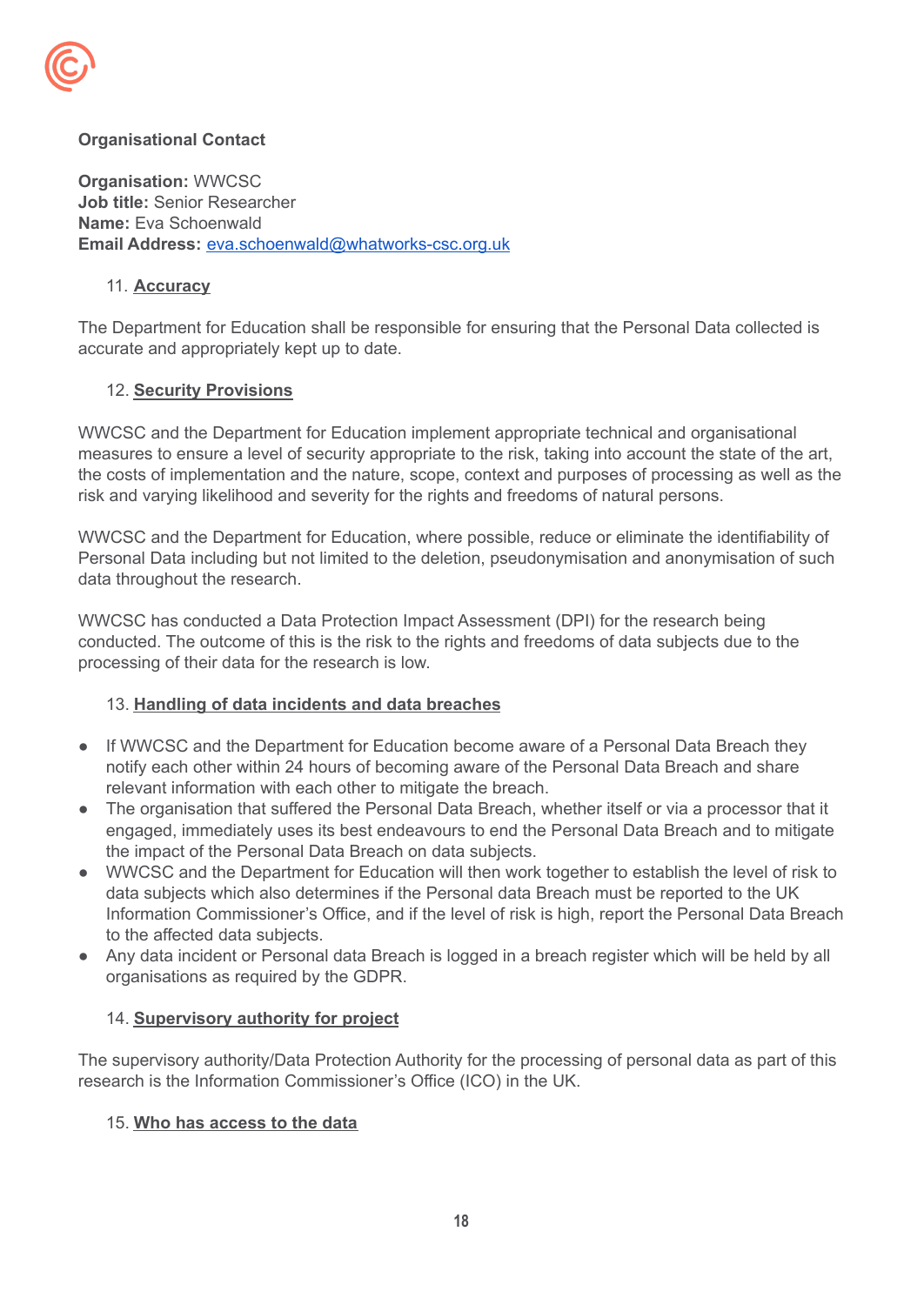

## **Organisational Contact**

**Organisation:** WWCSC **Job title:** Senior Researcher **Name:** Eva Schoenwald **Email Address:** [eva.schoenwald@whatworks-csc.org.uk](mailto:eva.schoenwald@whatworks-csc.org.uk)

#### 11. **Accuracy**

The Department for Education shall be responsible for ensuring that the Personal Data collected is accurate and appropriately kept up to date.

#### 12. **Security Provisions**

WWCSC and the Department for Education implement appropriate technical and organisational measures to ensure a level of security appropriate to the risk, taking into account the state of the art, the costs of implementation and the nature, scope, context and purposes of processing as well as the risk and varying likelihood and severity for the rights and freedoms of natural persons.

WWCSC and the Department for Education, where possible, reduce or eliminate the identifiability of Personal Data including but not limited to the deletion, pseudonymisation and anonymisation of such data throughout the research.

WWCSC has conducted a Data Protection Impact Assessment (DPI) for the research being conducted. The outcome of this is the risk to the rights and freedoms of data subjects due to the processing of their data for the research is low.

## 13. **Handling of data incidents and data breaches**

- If WWCSC and the Department for Education become aware of a Personal Data Breach they notify each other within 24 hours of becoming aware of the Personal Data Breach and share relevant information with each other to mitigate the breach.
- The organisation that suffered the Personal Data Breach, whether itself or via a processor that it engaged, immediately uses its best endeavours to end the Personal Data Breach and to mitigate the impact of the Personal Data Breach on data subjects.
- WWCSC and the Department for Education will then work together to establish the level of risk to data subjects which also determines if the Personal data Breach must be reported to the UK Information Commissioner's Office, and if the level of risk is high, report the Personal Data Breach to the affected data subjects.
- Any data incident or Personal data Breach is logged in a breach register which will be held by all organisations as required by the GDPR.

#### 14. **Supervisory authority for project**

The supervisory authority/Data Protection Authority for the processing of personal data as part of this research is the Information Commissioner's Office (ICO) in the UK.

## 15. **Who has access to the data**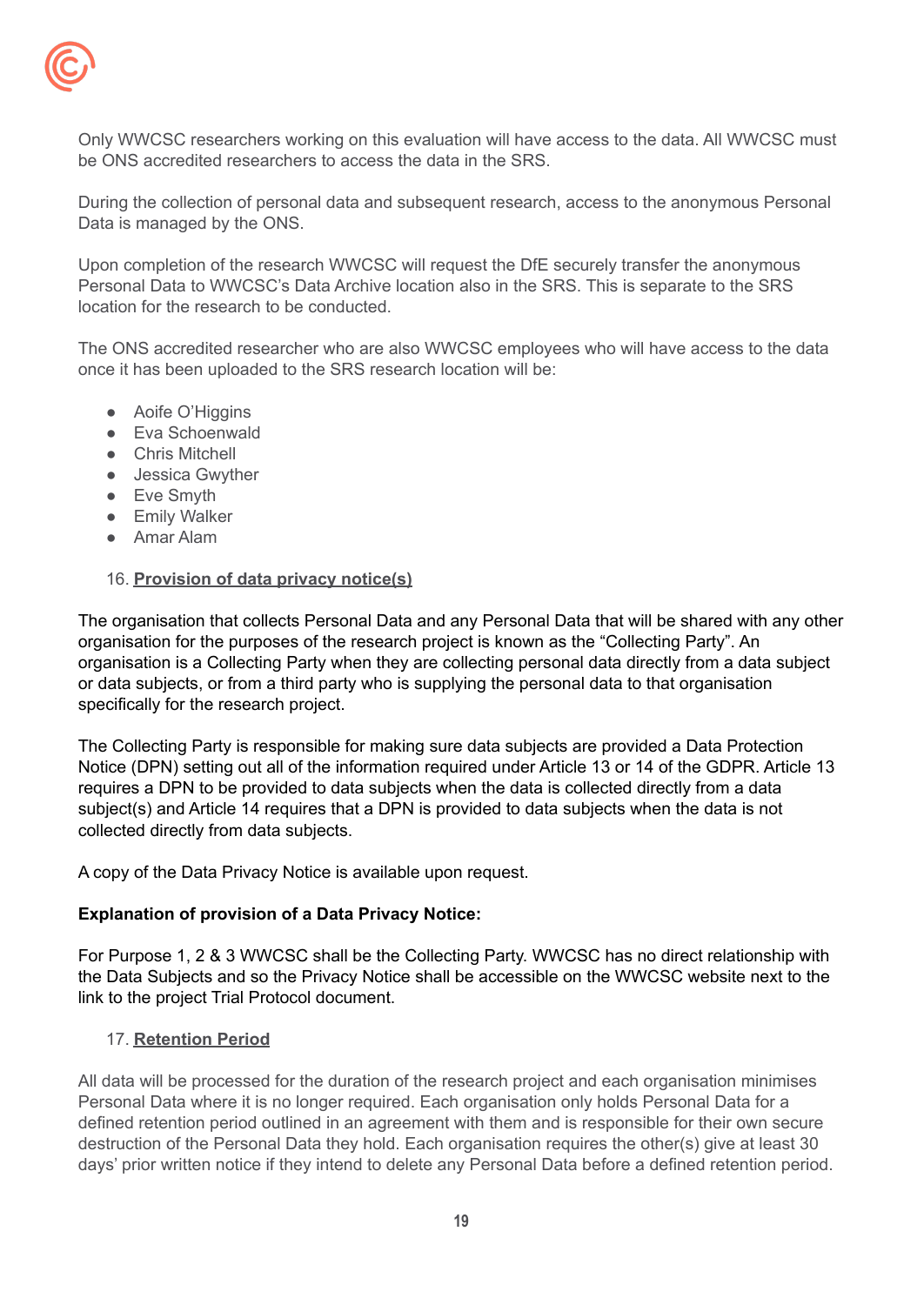

Only WWCSC researchers working on this evaluation will have access to the data. All WWCSC must be ONS accredited researchers to access the data in the SRS.

During the collection of personal data and subsequent research, access to the anonymous Personal Data is managed by the ONS.

Upon completion of the research WWCSC will request the DfE securely transfer the anonymous Personal Data to WWCSC's Data Archive location also in the SRS. This is separate to the SRS location for the research to be conducted.

The ONS accredited researcher who are also WWCSC employees who will have access to the data once it has been uploaded to the SRS research location will be:

- Aoife O'Higgins
- Eva Schoenwald
- Chris Mitchell
- Jessica Gwyther
- Eve Smyth
- **•** Emily Walker
- Amar Alam

#### 16. **Provision of data privacy notice(s)**

The organisation that collects Personal Data and any Personal Data that will be shared with any other organisation for the purposes of the research project is known as the "Collecting Party". An organisation is a Collecting Party when they are collecting personal data directly from a data subject or data subjects, or from a third party who is supplying the personal data to that organisation specifically for the research project.

The Collecting Party is responsible for making sure data subjects are provided a Data Protection Notice (DPN) setting out all of the information required under Article 13 or 14 of the GDPR. Article 13 requires a DPN to be provided to data subjects when the data is collected directly from a data subject(s) and Article 14 requires that a DPN is provided to data subjects when the data is not collected directly from data subjects.

A copy of the Data Privacy Notice is available upon request.

#### **Explanation of provision of a Data Privacy Notice:**

For Purpose 1, 2 & 3 WWCSC shall be the Collecting Party. WWCSC has no direct relationship with the Data Subjects and so the Privacy Notice shall be accessible on the WWCSC website next to the link to the project Trial Protocol document.

#### 17. **Retention Period**

All data will be processed for the duration of the research project and each organisation minimises Personal Data where it is no longer required. Each organisation only holds Personal Data for a defined retention period outlined in an agreement with them and is responsible for their own secure destruction of the Personal Data they hold. Each organisation requires the other(s) give at least 30 days' prior written notice if they intend to delete any Personal Data before a defined retention period.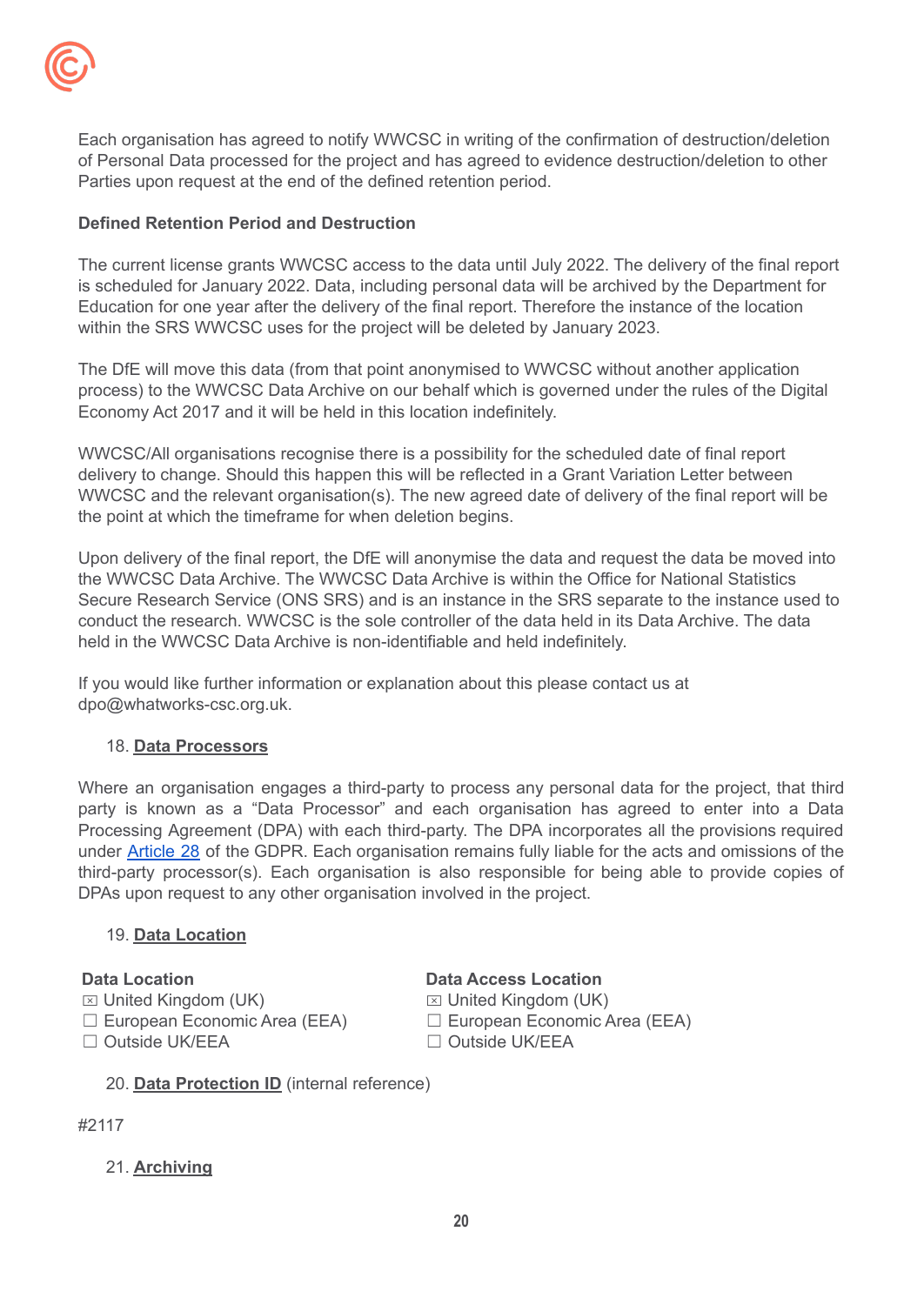

Each organisation has agreed to notify WWCSC in writing of the confirmation of destruction/deletion of Personal Data processed for the project and has agreed to evidence destruction/deletion to other Parties upon request at the end of the defined retention period.

## **Defined Retention Period and Destruction**

The current license grants WWCSC access to the data until July 2022. The delivery of the final report is scheduled for January 2022. Data, including personal data will be archived by the Department for Education for one year after the delivery of the final report. Therefore the instance of the location within the SRS WWCSC uses for the project will be deleted by January 2023.

The DfE will move this data (from that point anonymised to WWCSC without another application process) to the WWCSC Data Archive on our behalf which is governed under the rules of the Digital Economy Act 2017 and it will be held in this location indefinitely.

WWCSC/All organisations recognise there is a possibility for the scheduled date of final report delivery to change. Should this happen this will be reflected in a Grant Variation Letter between WWCSC and the relevant organisation(s). The new agreed date of delivery of the final report will be the point at which the timeframe for when deletion begins.

Upon delivery of the final report, the DfE will anonymise the data and request the data be moved into the WWCSC Data Archive. The WWCSC Data Archive is within the Office for National Statistics Secure Research Service (ONS SRS) and is an instance in the SRS separate to the instance used to conduct the research. WWCSC is the sole controller of the data held in its Data Archive. The data held in the WWCSC Data Archive is non-identifiable and held indefinitely.

If you would like further information or explanation about this please contact us at dpo@whatworks-csc.org.uk.

## 18. **Data Processors**

Where an organisation engages a third-party to process any personal data for the project, that third party is known as a "Data Processor" and each organisation has agreed to enter into a Data Processing Agreement (DPA) with each third-party. The DPA incorporates all the provisions required under [Article](https://gdpr-info.eu/art-28-gdpr/) 28 of the GDPR. Each organisation remains fully liable for the acts and omissions of the third-party processor(s). Each organisation is also responsible for being able to provide copies of DPAs upon request to any other organisation involved in the project.

#### 19. **Data Location**

## **Data Location**

- $\boxtimes$  United Kingdom (UK)
- ☐ European Economic Area (EEA)
- □ Outside UK/EEA

**Data Access Location**

 $\boxtimes$  United Kingdom (UK) ☐ European Economic Area (EEA) □ Outside UK/EEA

20. **Data Protection ID** (internal reference)

## #2117

## 21. **Archiving**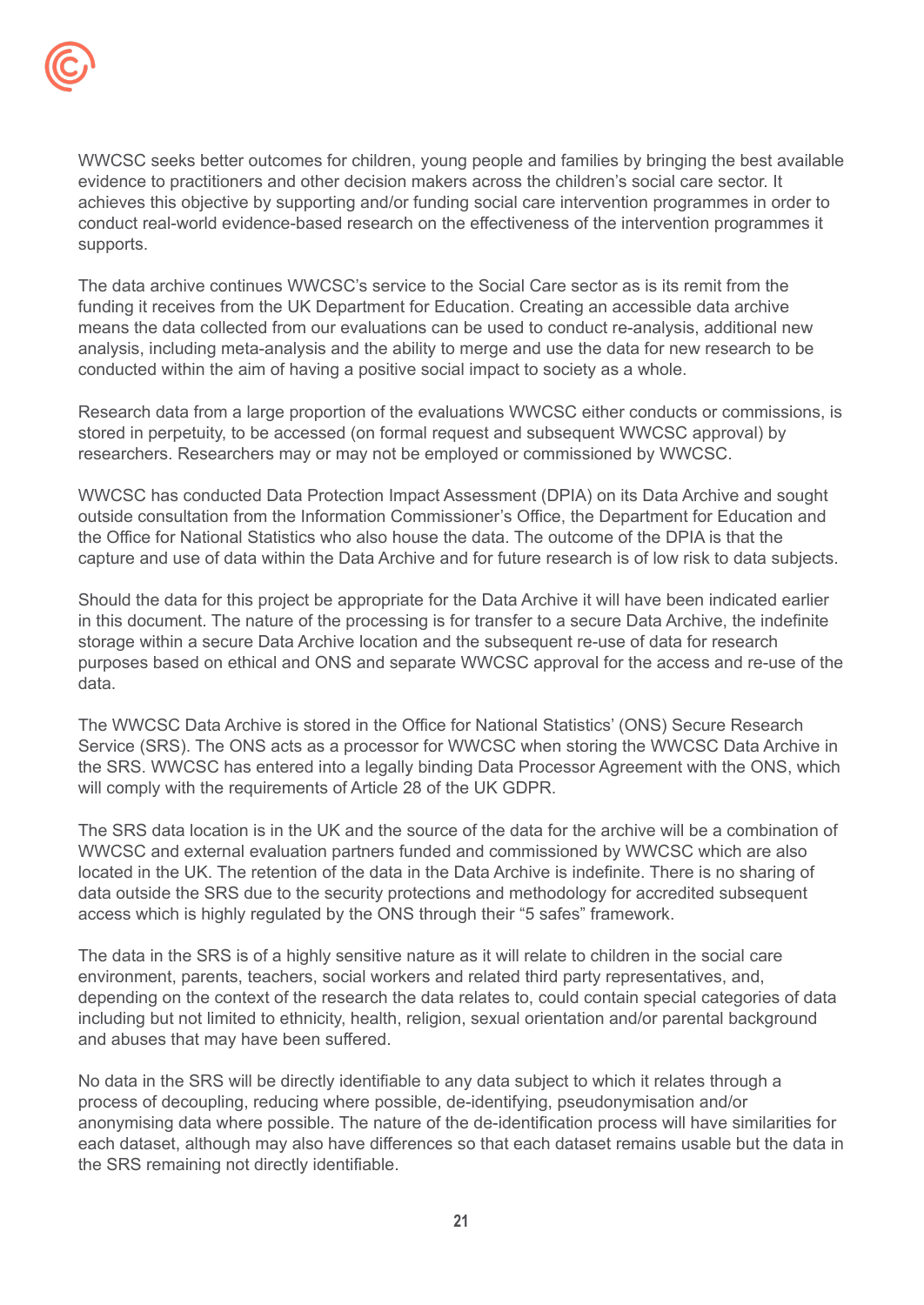

WWCSC seeks better outcomes for children, young people and families by bringing the best available evidence to practitioners and other decision makers across the children's social care sector. It achieves this objective by supporting and/or funding social care intervention programmes in order to conduct real-world evidence-based research on the effectiveness of the intervention programmes it supports.

The data archive continues WWCSC's service to the Social Care sector as is its remit from the funding it receives from the UK Department for Education. Creating an accessible data archive means the data collected from our evaluations can be used to conduct re-analysis, additional new analysis, including meta-analysis and the ability to merge and use the data for new research to be conducted within the aim of having a positive social impact to society as a whole.

Research data from a large proportion of the evaluations WWCSC either conducts or commissions, is stored in perpetuity, to be accessed (on formal request and subsequent WWCSC approval) by researchers. Researchers may or may not be employed or commissioned by WWCSC.

WWCSC has conducted Data Protection Impact Assessment (DPIA) on its Data Archive and sought outside consultation from the Information Commissioner's Office, the Department for Education and the Office for National Statistics who also house the data. The outcome of the DPIA is that the capture and use of data within the Data Archive and for future research is of low risk to data subjects.

Should the data for this project be appropriate for the Data Archive it will have been indicated earlier in this document. The nature of the processing is for transfer to a secure Data Archive, the indefinite storage within a secure Data Archive location and the subsequent re-use of data for research purposes based on ethical and ONS and separate WWCSC approval for the access and re-use of the data.

The WWCSC Data Archive is stored in the Office for National Statistics' (ONS) Secure Research Service (SRS). The ONS acts as a processor for WWCSC when storing the WWCSC Data Archive in the SRS. WWCSC has entered into a legally binding Data Processor Agreement with the ONS, which will comply with the requirements of Article 28 of the UK GDPR.

The SRS data location is in the UK and the source of the data for the archive will be a combination of WWCSC and external evaluation partners funded and commissioned by WWCSC which are also located in the UK. The retention of the data in the Data Archive is indefinite. There is no sharing of data outside the SRS due to the security protections and methodology for accredited subsequent access which is highly regulated by the ONS through their "5 safes" framework.

The data in the SRS is of a highly sensitive nature as it will relate to children in the social care environment, parents, teachers, social workers and related third party representatives, and, depending on the context of the research the data relates to, could contain special categories of data including but not limited to ethnicity, health, religion, sexual orientation and/or parental background and abuses that may have been suffered.

No data in the SRS will be directly identifiable to any data subject to which it relates through a process of decoupling, reducing where possible, de-identifying, pseudonymisation and/or anonymising data where possible. The nature of the de-identification process will have similarities for each dataset, although may also have differences so that each dataset remains usable but the data in the SRS remaining not directly identifiable.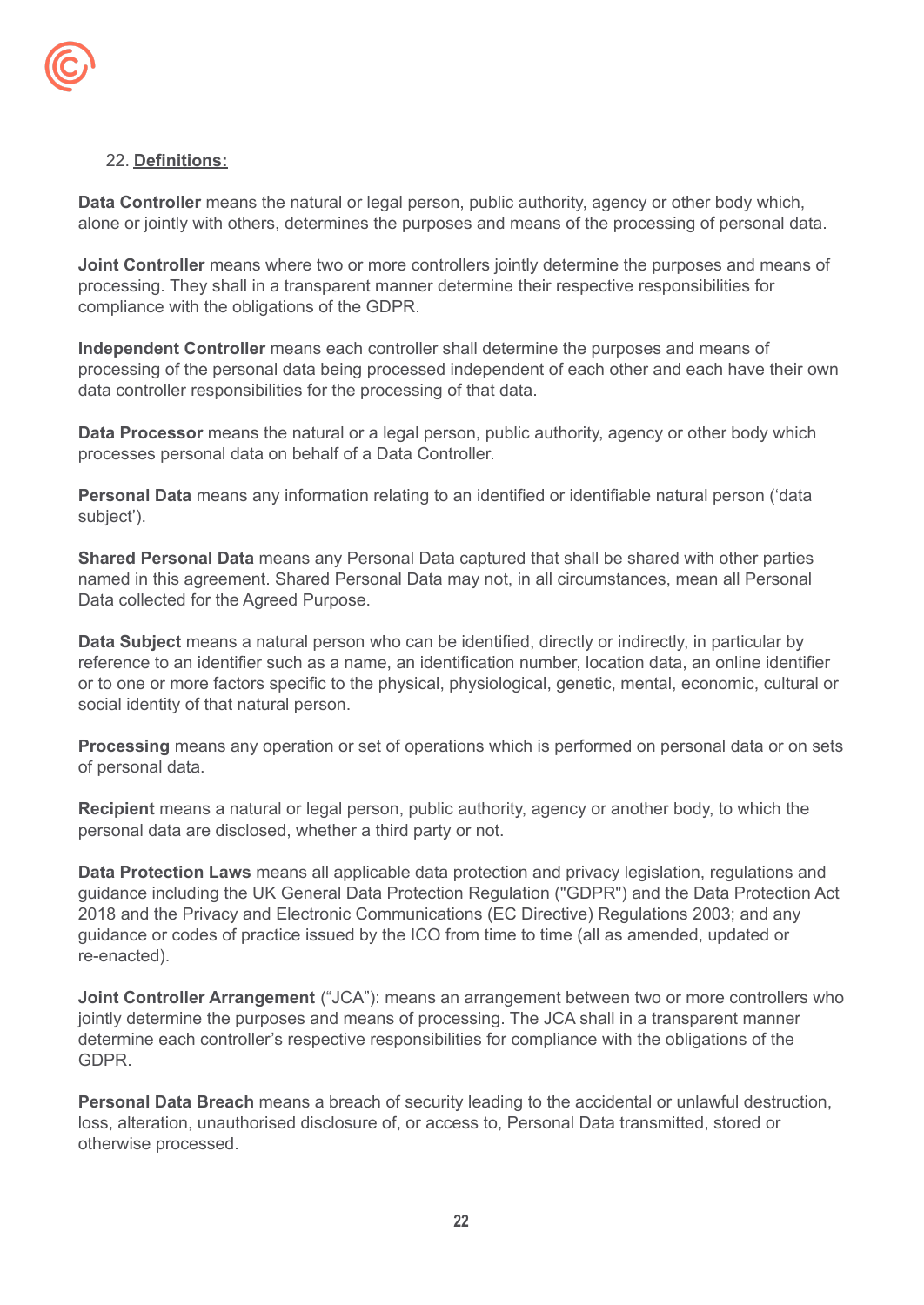

#### 22. **Definitions:**

**Data Controller** means the natural or legal person, public authority, agency or other body which, alone or jointly with others, determines the purposes and means of the processing of personal data.

**Joint Controller** means where two or more controllers jointly determine the purposes and means of processing. They shall in a transparent manner determine their respective responsibilities for compliance with the obligations of the GDPR.

**Independent Controller** means each controller shall determine the purposes and means of processing of the personal data being processed independent of each other and each have their own data controller responsibilities for the processing of that data.

**Data Processor** means the natural or a legal person, public authority, agency or other body which processes personal data on behalf of a Data Controller.

**Personal Data** means any information relating to an identified or identifiable natural person ('data subject').

**Shared Personal Data** means any Personal Data captured that shall be shared with other parties named in this agreement. Shared Personal Data may not, in all circumstances, mean all Personal Data collected for the Agreed Purpose.

**Data Subject** means a natural person who can be identified, directly or indirectly, in particular by reference to an identifier such as a name, an identification number, location data, an online identifier or to one or more factors specific to the physical, physiological, genetic, mental, economic, cultural or social identity of that natural person.

**Processing** means any operation or set of operations which is performed on personal data or on sets of personal data.

**Recipient** means a natural or legal person, public authority, agency or another body, to which the personal data are disclosed, whether a third party or not.

**Data Protection Laws** means all applicable data protection and privacy legislation, regulations and guidance including the UK General Data Protection Regulation ("GDPR") and the Data Protection Act 2018 and the Privacy and Electronic Communications (EC Directive) Regulations 2003; and any guidance or codes of practice issued by the ICO from time to time (all as amended, updated or re-enacted).

**Joint Controller Arrangement** ("JCA"): means an arrangement between two or more controllers who jointly determine the purposes and means of processing. The JCA shall in a transparent manner determine each controller's respective responsibilities for compliance with the obligations of the GDPR.

**Personal Data Breach** means a breach of security leading to the accidental or unlawful destruction, loss, alteration, unauthorised disclosure of, or access to, Personal Data transmitted, stored or otherwise processed.